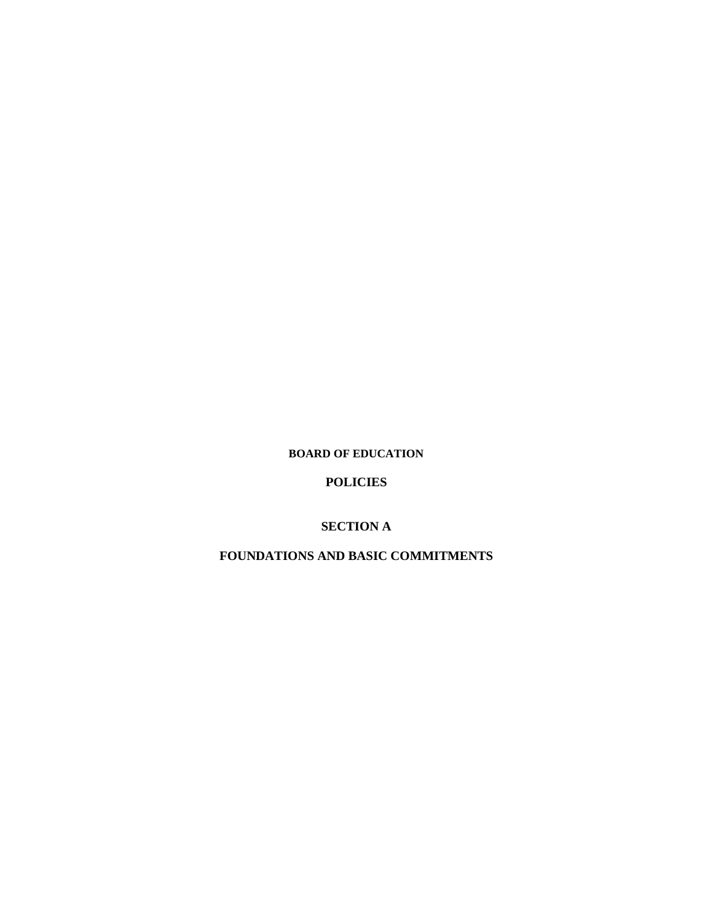**BOARD OF EDUCATION**

**POLICIES**

**SECTION A**

**FOUNDATIONS AND BASIC COMMITMENTS**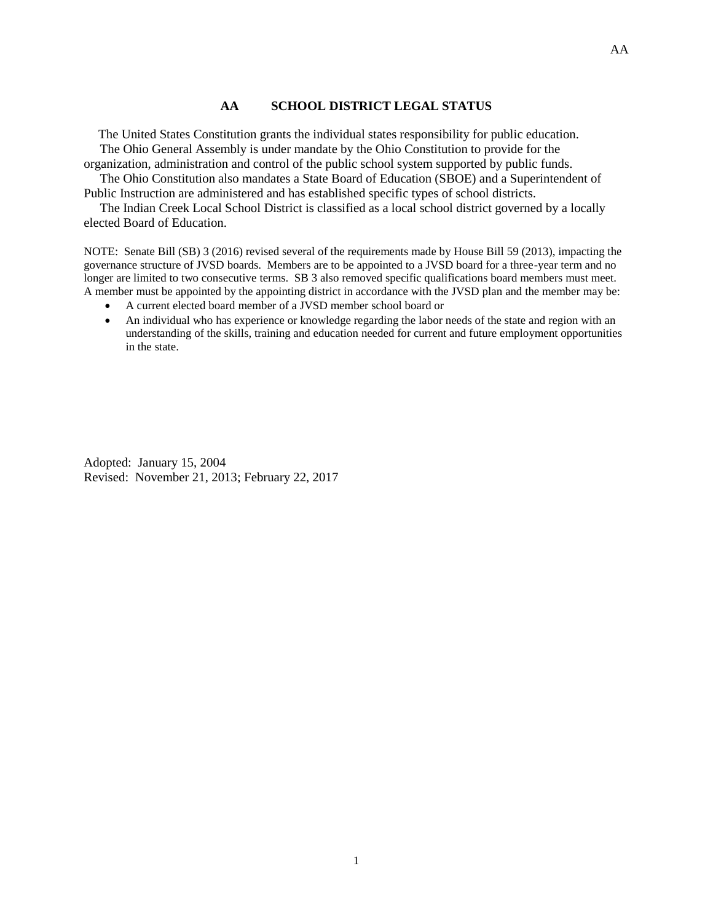## **AA SCHOOL DISTRICT LEGAL STATUS**

 The United States Constitution grants the individual states responsibility for public education. The Ohio General Assembly is under mandate by the Ohio Constitution to provide for the organization, administration and control of the public school system supported by public funds.

 The Ohio Constitution also mandates a State Board of Education (SBOE) and a Superintendent of Public Instruction are administered and has established specific types of school districts.

 The Indian Creek Local School District is classified as a local school district governed by a locally elected Board of Education.

NOTE: Senate Bill (SB) 3 (2016) revised several of the requirements made by House Bill 59 (2013), impacting the governance structure of JVSD boards. Members are to be appointed to a JVSD board for a three-year term and no longer are limited to two consecutive terms. SB 3 also removed specific qualifications board members must meet. A member must be appointed by the appointing district in accordance with the JVSD plan and the member may be:

- A current elected board member of a JVSD member school board or
- An individual who has experience or knowledge regarding the labor needs of the state and region with an understanding of the skills, training and education needed for current and future employment opportunities in the state.

Adopted: January 15, 2004 Revised: November 21, 2013; February 22, 2017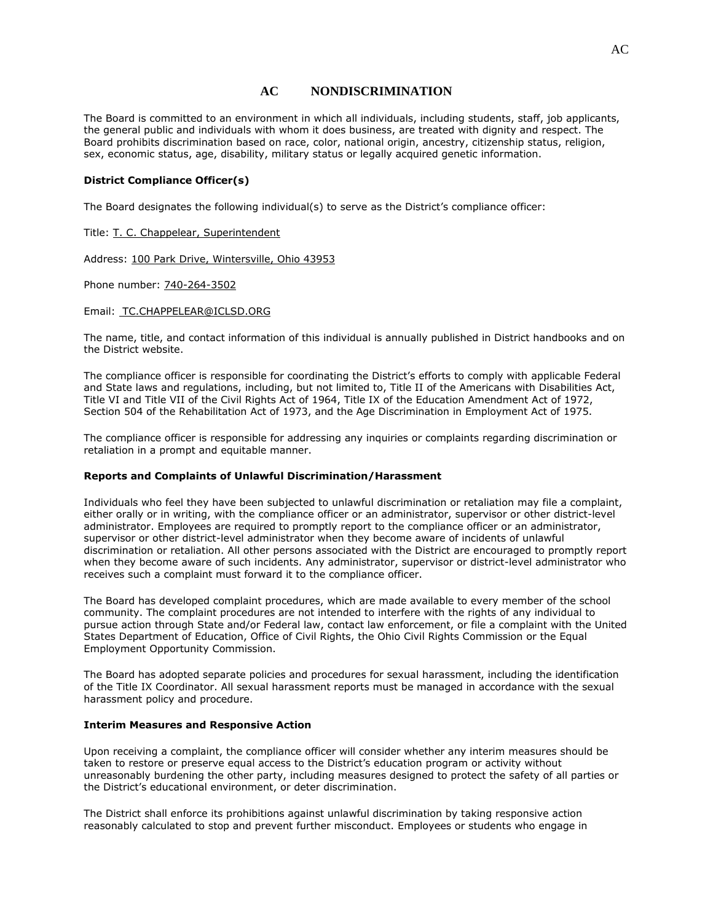### **AC NONDISCRIMINATION**

The Board is committed to an environment in which all individuals, including students, staff, job applicants, the general public and individuals with whom it does business, are treated with dignity and respect. The Board prohibits discrimination based on race, color, national origin, ancestry, citizenship status, religion, sex, economic status, age, disability, military status or legally acquired genetic information.

#### **District Compliance Officer(s)**

The Board designates the following individual(s) to serve as the District's compliance officer:

Title: T. C. Chappelear, Superintendent

Address: 100 Park Drive, Wintersville, Ohio 43953

Phone number: 740-264-3502

Email: TC.CHAPPELEAR@ICLSD.ORG

The name, title, and contact information of this individual is annually published in District handbooks and on the District website.

The compliance officer is responsible for coordinating the District's efforts to comply with applicable Federal and State laws and regulations, including, but not limited to, Title II of the Americans with Disabilities Act, Title VI and Title VII of the Civil Rights Act of 1964, Title IX of the Education Amendment Act of 1972, Section 504 of the Rehabilitation Act of 1973, and the Age Discrimination in Employment Act of 1975.

The compliance officer is responsible for addressing any inquiries or complaints regarding discrimination or retaliation in a prompt and equitable manner.

#### **Reports and Complaints of Unlawful Discrimination/Harassment**

Individuals who feel they have been subjected to unlawful discrimination or retaliation may file a complaint, either orally or in writing, with the compliance officer or an administrator, supervisor or other district-level administrator. Employees are required to promptly report to the compliance officer or an administrator, supervisor or other district-level administrator when they become aware of incidents of unlawful discrimination or retaliation. All other persons associated with the District are encouraged to promptly report when they become aware of such incidents. Any administrator, supervisor or district-level administrator who receives such a complaint must forward it to the compliance officer.

The Board has developed complaint procedures, which are made available to every member of the school community. The complaint procedures are not intended to interfere with the rights of any individual to pursue action through State and/or Federal law, contact law enforcement, or file a complaint with the United States Department of Education, Office of Civil Rights, the Ohio Civil Rights Commission or the Equal Employment Opportunity Commission.

The Board has adopted separate policies and procedures for sexual harassment, including the identification of the Title IX Coordinator. All sexual harassment reports must be managed in accordance with the sexual harassment policy and procedure.

#### **Interim Measures and Responsive Action**

Upon receiving a complaint, the compliance officer will consider whether any interim measures should be taken to restore or preserve equal access to the District's education program or activity without unreasonably burdening the other party, including measures designed to protect the safety of all parties or the District's educational environment, or deter discrimination.

The District shall enforce its prohibitions against unlawful discrimination by taking responsive action reasonably calculated to stop and prevent further misconduct. Employees or students who engage in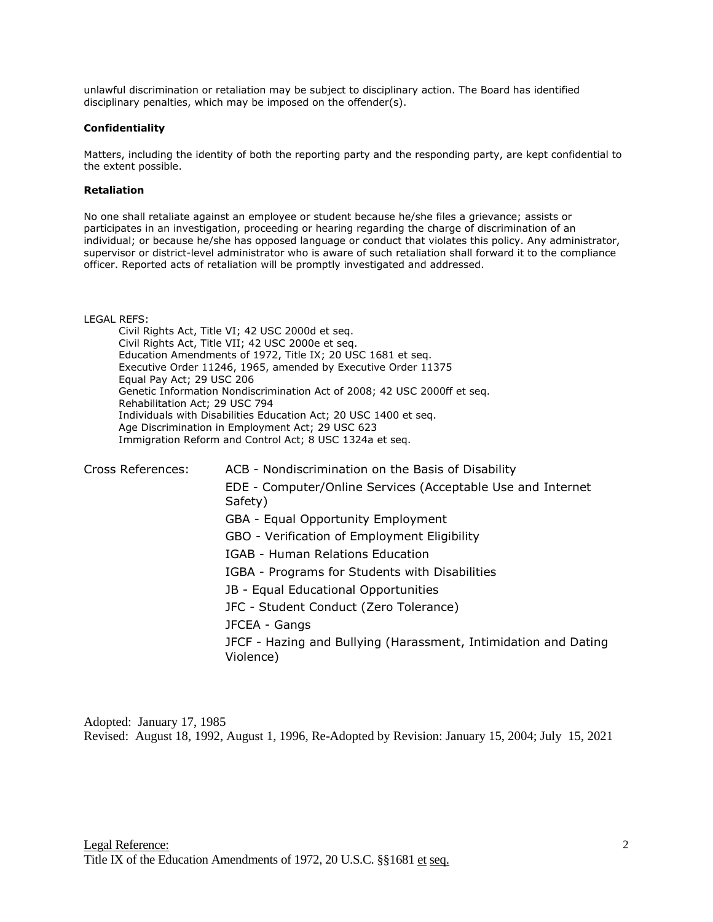unlawful discrimination or retaliation may be subject to disciplinary action. The Board has identified disciplinary penalties, which may be imposed on the offender(s).

#### **Confidentiality**

Matters, including the identity of both the reporting party and the responding party, are kept confidential to the extent possible.

#### **Retaliation**

No one shall retaliate against an employee or student because he/she files a grievance; assists or participates in an investigation, proceeding or hearing regarding the charge of discrimination of an individual; or because he/she has opposed language or conduct that violates this policy. Any administrator, supervisor or district-level administrator who is aware of such retaliation shall forward it to the compliance officer. Reported acts of retaliation will be promptly investigated and addressed.

LEGAL REFS:

Civil Rights Act, Title VI; 42 USC 2000d et seq. Civil Rights Act, Title VII; 42 USC 2000e et seq. Education Amendments of 1972, Title IX; 20 USC 1681 et seq. Executive Order 11246, 1965, amended by Executive Order 11375 Equal Pay Act; 29 USC 206 Genetic Information Nondiscrimination Act of 2008; 42 USC 2000ff et seq. Rehabilitation Act; 29 USC 794 Individuals with Disabilities Education Act; 20 USC 1400 et seq. Age Discrimination in Employment Act; 29 USC 623 Immigration Reform and Control Act; 8 USC 1324a et seq.

| Cross References: | ACB - Nondiscrimination on the Basis of Disability                           |
|-------------------|------------------------------------------------------------------------------|
|                   | EDE - Computer/Online Services (Acceptable Use and Internet<br>Safety)       |
|                   | GBA - Equal Opportunity Employment                                           |
|                   | GBO - Verification of Employment Eligibility                                 |
|                   | IGAB - Human Relations Education                                             |
|                   | IGBA - Programs for Students with Disabilities                               |
|                   | JB - Equal Educational Opportunities                                         |
|                   | JFC - Student Conduct (Zero Tolerance)                                       |
|                   | JFCEA - Gangs                                                                |
|                   | JFCF - Hazing and Bullying (Harassment, Intimidation and Dating<br>Violence) |
|                   |                                                                              |

Adopted: January 17, 1985 Revised: August 18, 1992, August 1, 1996, Re-Adopted by Revision: January 15, 2004; July 15, 2021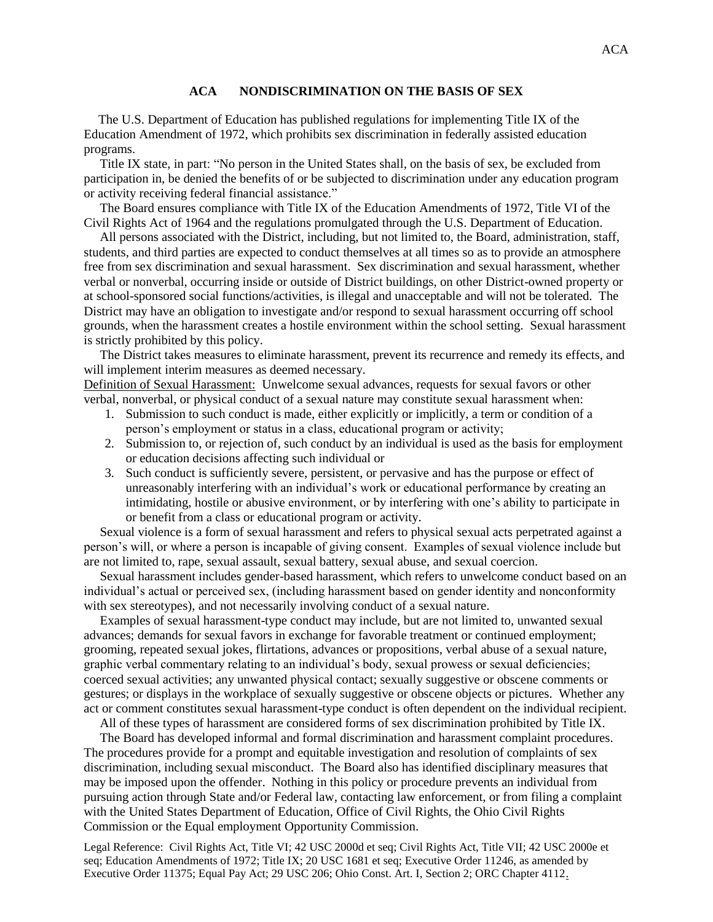## **ACA NONDISCRIMINATION ON THE BASIS OF SEX**

 The U.S. Department of Education has published regulations for implementing Title IX of the Education Amendment of 1972, which prohibits sex discrimination in federally assisted education programs.

 Title IX state, in part: "No person in the United States shall, on the basis of sex, be excluded from participation in, be denied the benefits of or be subjected to discrimination under any education program or activity receiving federal financial assistance."

 The Board ensures compliance with Title IX of the Education Amendments of 1972, Title VI of the Civil Rights Act of 1964 and the regulations promulgated through the U.S. Department of Education.

 All persons associated with the District, including, but not limited to, the Board, administration, staff, students, and third parties are expected to conduct themselves at all times so as to provide an atmosphere free from sex discrimination and sexual harassment. Sex discrimination and sexual harassment, whether verbal or nonverbal, occurring inside or outside of District buildings, on other District-owned property or at school-sponsored social functions/activities, is illegal and unacceptable and will not be tolerated. The District may have an obligation to investigate and/or respond to sexual harassment occurring off school grounds, when the harassment creates a hostile environment within the school setting. Sexual harassment is strictly prohibited by this policy.

 The District takes measures to eliminate harassment, prevent its recurrence and remedy its effects, and will implement interim measures as deemed necessary.

Definition of Sexual Harassment: Unwelcome sexual advances, requests for sexual favors or other verbal, nonverbal, or physical conduct of a sexual nature may constitute sexual harassment when:

- 1. Submission to such conduct is made, either explicitly or implicitly, a term or condition of a person's employment or status in a class, educational program or activity;
- 2. Submission to, or rejection of, such conduct by an individual is used as the basis for employment or education decisions affecting such individual or
- 3. Such conduct is sufficiently severe, persistent, or pervasive and has the purpose or effect of unreasonably interfering with an individual's work or educational performance by creating an intimidating, hostile or abusive environment, or by interfering with one's ability to participate in or benefit from a class or educational program or activity.

 Sexual violence is a form of sexual harassment and refers to physical sexual acts perpetrated against a person's will, or where a person is incapable of giving consent. Examples of sexual violence include but are not limited to, rape, sexual assault, sexual battery, sexual abuse, and sexual coercion.

 Sexual harassment includes gender-based harassment, which refers to unwelcome conduct based on an individual's actual or perceived sex, (including harassment based on gender identity and nonconformity with sex stereotypes), and not necessarily involving conduct of a sexual nature.

 Examples of sexual harassment-type conduct may include, but are not limited to, unwanted sexual advances; demands for sexual favors in exchange for favorable treatment or continued employment; grooming, repeated sexual jokes, flirtations, advances or propositions, verbal abuse of a sexual nature, graphic verbal commentary relating to an individual's body, sexual prowess or sexual deficiencies; coerced sexual activities; any unwanted physical contact; sexually suggestive or obscene comments or gestures; or displays in the workplace of sexually suggestive or obscene objects or pictures. Whether any act or comment constitutes sexual harassment-type conduct is often dependent on the individual recipient.

All of these types of harassment are considered forms of sex discrimination prohibited by Title IX.

 The Board has developed informal and formal discrimination and harassment complaint procedures. The procedures provide for a prompt and equitable investigation and resolution of complaints of sex discrimination, including sexual misconduct. The Board also has identified disciplinary measures that may be imposed upon the offender. Nothing in this policy or procedure prevents an individual from pursuing action through State and/or Federal law, contacting law enforcement, or from filing a complaint with the United States Department of Education, Office of Civil Rights, the Ohio Civil Rights Commission or the Equal employment Opportunity Commission.

Legal Reference: Civil Rights Act, Title VI; 42 USC 2000d et seq; Civil Rights Act, Title VII; 42 USC 2000e et seq; Education Amendments of 1972; Title IX; 20 USC 1681 et seq; Executive Order 11246, as amended by Executive Order 11375; Equal Pay Act; 29 USC 206; Ohio Const. Art. I, Section 2; ORC Chapter 4112.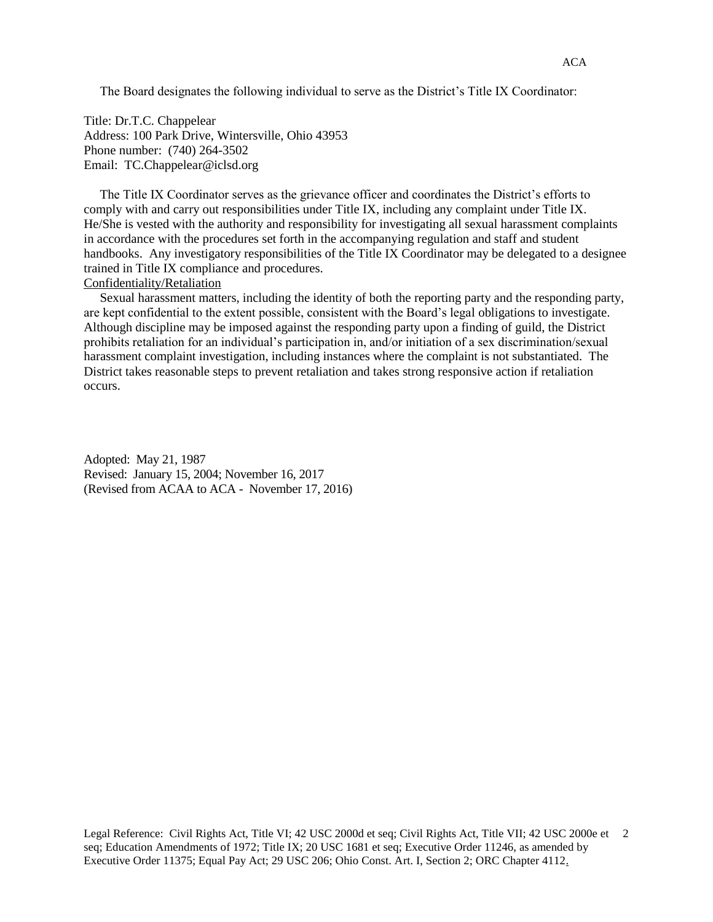The Board designates the following individual to serve as the District's Title IX Coordinator:

Title: Dr.T.C. Chappelear Address: 100 Park Drive, Wintersville, Ohio 43953 Phone number: (740) 264-3502 Email: TC.Chappelear@iclsd.org

 The Title IX Coordinator serves as the grievance officer and coordinates the District's efforts to comply with and carry out responsibilities under Title IX, including any complaint under Title IX. He/She is vested with the authority and responsibility for investigating all sexual harassment complaints in accordance with the procedures set forth in the accompanying regulation and staff and student handbooks. Any investigatory responsibilities of the Title IX Coordinator may be delegated to a designee trained in Title IX compliance and procedures.

# Confidentiality/Retaliation

 Sexual harassment matters, including the identity of both the reporting party and the responding party, are kept confidential to the extent possible, consistent with the Board's legal obligations to investigate. Although discipline may be imposed against the responding party upon a finding of guild, the District prohibits retaliation for an individual's participation in, and/or initiation of a sex discrimination/sexual harassment complaint investigation, including instances where the complaint is not substantiated. The District takes reasonable steps to prevent retaliation and takes strong responsive action if retaliation occurs.

Adopted: May 21, 1987 Revised: January 15, 2004; November 16, 2017 (Revised from ACAA to ACA - November 17, 2016)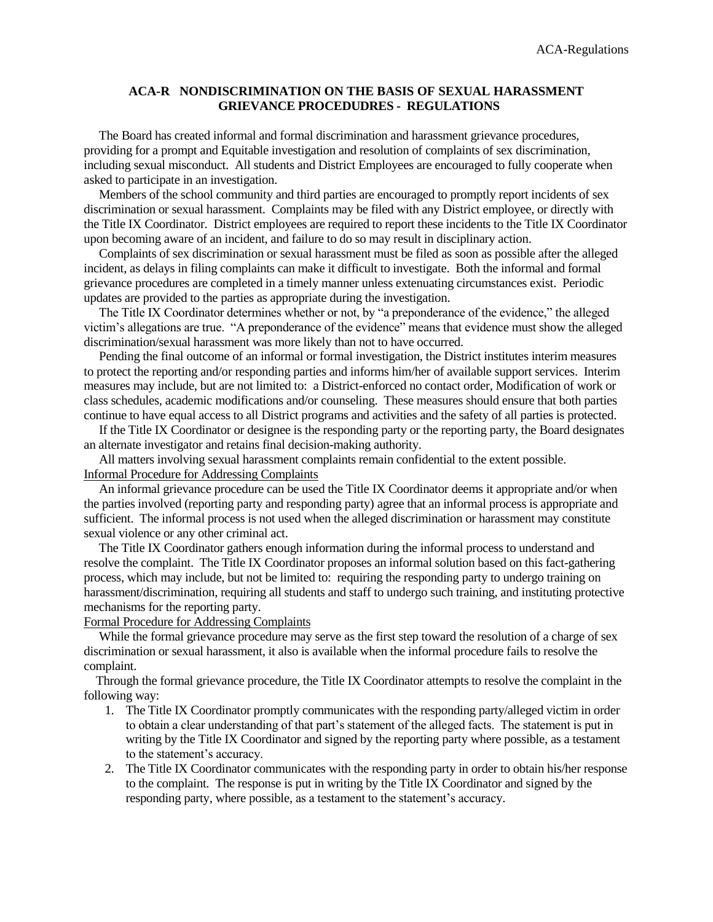## **ACA-R NONDISCRIMINATION ON THE BASIS OF SEXUAL HARASSMENT GRIEVANCE PROCEDUDRES - REGULATIONS**

 The Board has created informal and formal discrimination and harassment grievance procedures, providing for a prompt and Equitable investigation and resolution of complaints of sex discrimination, including sexual misconduct. All students and District Employees are encouraged to fully cooperate when asked to participate in an investigation.

 Members of the school community and third parties are encouraged to promptly report incidents of sex discrimination or sexual harassment. Complaints may be filed with any District employee, or directly with the Title IX Coordinator. District employees are required to report these incidents to the Title IX Coordinator upon becoming aware of an incident, and failure to do so may result in disciplinary action.

 Complaints of sex discrimination or sexual harassment must be filed as soon as possible after the alleged incident, as delays in filing complaints can make it difficult to investigate. Both the informal and formal grievance procedures are completed in a timely manner unless extenuating circumstances exist. Periodic updates are provided to the parties as appropriate during the investigation.

 The Title IX Coordinator determines whether or not, by "a preponderance of the evidence," the alleged victim's allegations are true. "A preponderance of the evidence" means that evidence must show the alleged discrimination/sexual harassment was more likely than not to have occurred.

 Pending the final outcome of an informal or formal investigation, the District institutes interim measures to protect the reporting and/or responding parties and informs him/her of available support services. Interim measures may include, but are not limited to: a District-enforced no contact order, Modification of work or class schedules, academic modifications and/or counseling. These measures should ensure that both parties continue to have equal access to all District programs and activities and the safety of all parties is protected.

 If the Title IX Coordinator or designee is the responding party or the reporting party, the Board designates an alternate investigator and retains final decision-making authority.

 All matters involving sexual harassment complaints remain confidential to the extent possible. Informal Procedure for Addressing Complaints

 An informal grievance procedure can be used the Title IX Coordinator deems it appropriate and/or when the parties involved (reporting party and responding party) agree that an informal process is appropriate and sufficient. The informal process is not used when the alleged discrimination or harassment may constitute sexual violence or any other criminal act.

 The Title IX Coordinator gathers enough information during the informal process to understand and resolve the complaint. The Title IX Coordinator proposes an informal solution based on this fact-gathering process, which may include, but not be limited to: requiring the responding party to undergo training on harassment/discrimination, requiring all students and staff to undergo such training, and instituting protective mechanisms for the reporting party.

Formal Procedure for Addressing Complaints

While the formal grievance procedure may serve as the first step toward the resolution of a charge of sex discrimination or sexual harassment, it also is available when the informal procedure fails to resolve the complaint.

 Through the formal grievance procedure, the Title IX Coordinator attempts to resolve the complaint in the following way:

- 1. The Title IX Coordinator promptly communicates with the responding party/alleged victim in order to obtain a clear understanding of that part's statement of the alleged facts. The statement is put in writing by the Title IX Coordinator and signed by the reporting party where possible, as a testament to the statement's accuracy.
- 2. The Title IX Coordinator communicates with the responding party in order to obtain his/her response to the complaint. The response is put in writing by the Title IX Coordinator and signed by the responding party, where possible, as a testament to the statement's accuracy.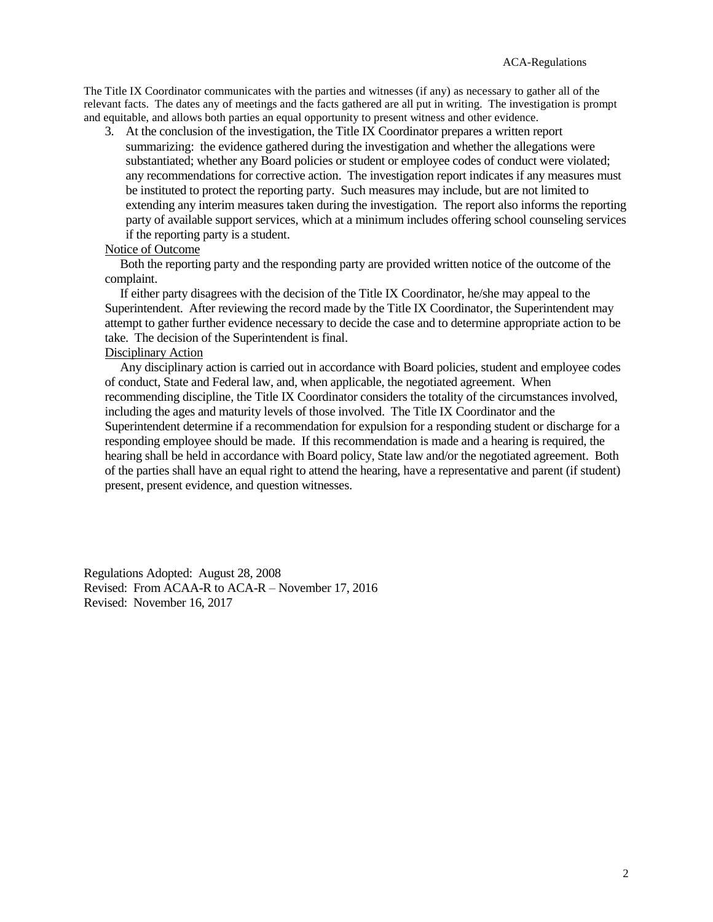The Title IX Coordinator communicates with the parties and witnesses (if any) as necessary to gather all of the relevant facts. The dates any of meetings and the facts gathered are all put in writing. The investigation is prompt and equitable, and allows both parties an equal opportunity to present witness and other evidence.

3. At the conclusion of the investigation, the Title IX Coordinator prepares a written report summarizing: the evidence gathered during the investigation and whether the allegations were substantiated; whether any Board policies or student or employee codes of conduct were violated; any recommendations for corrective action. The investigation report indicates if any measures must be instituted to protect the reporting party. Such measures may include, but are not limited to extending any interim measures taken during the investigation. The report also informs the reporting party of available support services, which at a minimum includes offering school counseling services if the reporting party is a student.

#### Notice of Outcome

 Both the reporting party and the responding party are provided written notice of the outcome of the complaint.

 If either party disagrees with the decision of the Title IX Coordinator, he/she may appeal to the Superintendent. After reviewing the record made by the Title IX Coordinator, the Superintendent may attempt to gather further evidence necessary to decide the case and to determine appropriate action to be take. The decision of the Superintendent is final.

## Disciplinary Action

 Any disciplinary action is carried out in accordance with Board policies, student and employee codes of conduct, State and Federal law, and, when applicable, the negotiated agreement. When recommending discipline, the Title IX Coordinator considers the totality of the circumstances involved, including the ages and maturity levels of those involved. The Title IX Coordinator and the Superintendent determine if a recommendation for expulsion for a responding student or discharge for a responding employee should be made. If this recommendation is made and a hearing is required, the hearing shall be held in accordance with Board policy, State law and/or the negotiated agreement. Both of the parties shall have an equal right to attend the hearing, have a representative and parent (if student) present, present evidence, and question witnesses.

Regulations Adopted: August 28, 2008 Revised: From ACAA-R to ACA-R – November 17, 2016 Revised: November 16, 2017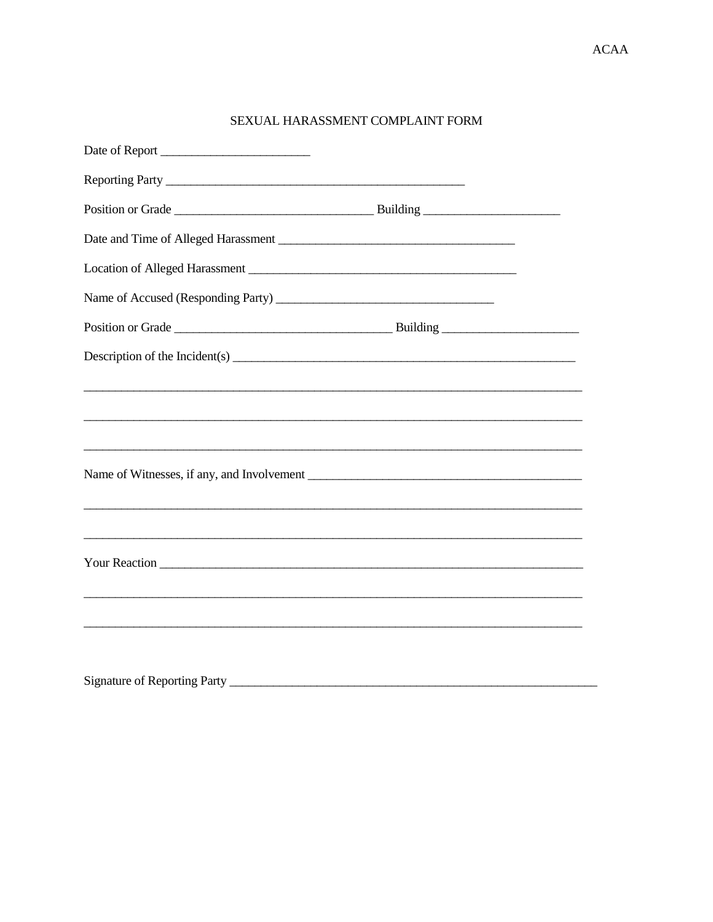# SEXUAL HARASSMENT COMPLAINT FORM

| Date of Report                     |  |
|------------------------------------|--|
|                                    |  |
|                                    |  |
|                                    |  |
|                                    |  |
| Name of Accused (Responding Party) |  |
|                                    |  |
|                                    |  |
|                                    |  |
|                                    |  |
|                                    |  |
|                                    |  |
|                                    |  |
|                                    |  |
|                                    |  |
|                                    |  |
|                                    |  |
|                                    |  |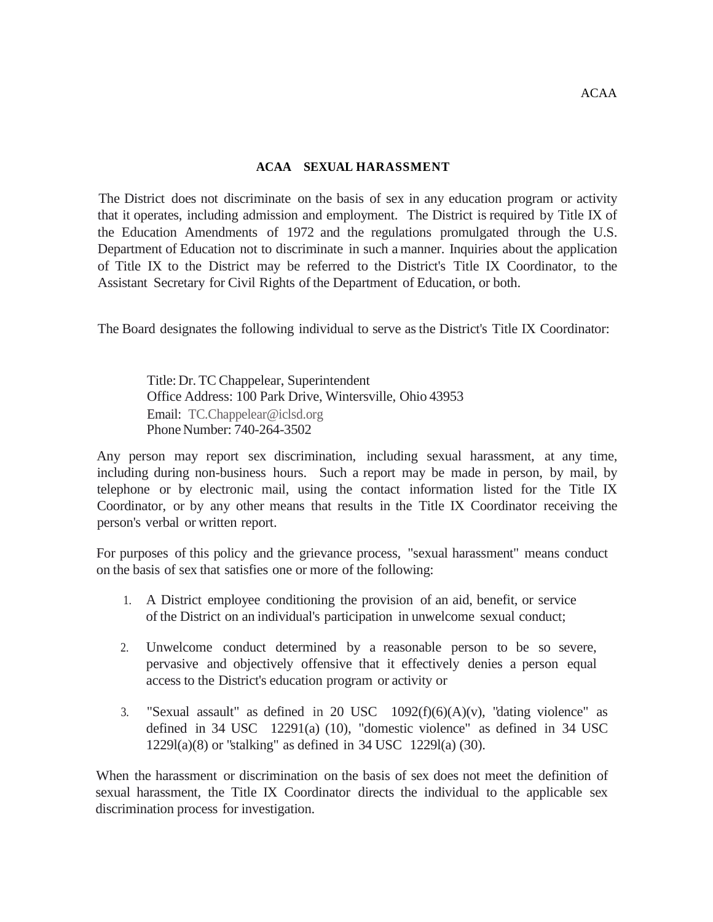## **ACAA SEXUAL HARASSMENT**

The District does not discriminate on the basis of sex in any education program or activity that it operates, including admission and employment. The District is required by Title IX of the Education Amendments of 1972 and the regulations promulgated through the U.S. Department of Education not to discriminate in such a manner. Inquiries about the application of Title IX to the District may be referred to the District's Title IX Coordinator, to the Assistant Secretary for Civil Rights of the Department of Education, or both.

The Board designates the following individual to serve asthe District's Title IX Coordinator:

Title:Dr. TC Chappelear, Superintendent Office Address: 100 Park Drive, Wintersville, Ohio 43953 Email: [TC.Chappelear@iclsd.org](mailto:TC.Chappelear@iclsd.org) Phone Number: 740-264-3502

Any person may report sex discrimination, including sexual harassment, at any time, including during non-business hours. Such a report may be made in person, by mail, by telephone or by electronic mail, using the contact information listed for the Title IX Coordinator, or by any other means that results in the Title IX Coordinator receiving the person's verbal or written report.

For purposes of this policy and the grievance process, "sexual harassment" means conduct on the basis of sex that satisfies one or more of the following:

- 1. A District employee conditioning the provision of an aid, benefit, or service of the District on an individual's participation in unwelcome sexual conduct;
- 2. Unwelcome conduct determined by a reasonable person to be so severe, pervasive and objectively offensive that it effectively denies a person equal access to the District's education program or activity or
- 3. "Sexual assault" as defined in 20 USC  $1092(f)(6)(A)(v)$ , "dating violence" as defined in 34 USC 12291(a) (10), "domestic violence" as defined in 34 USC 1229l(a)(8) or "stalking" as defined in 34 USC 1229l(a) (30).

When the harassment or discrimination on the basis of sex does not meet the definition of sexual harassment, the Title IX Coordinator directs the individual to the applicable sex discrimination process for investigation.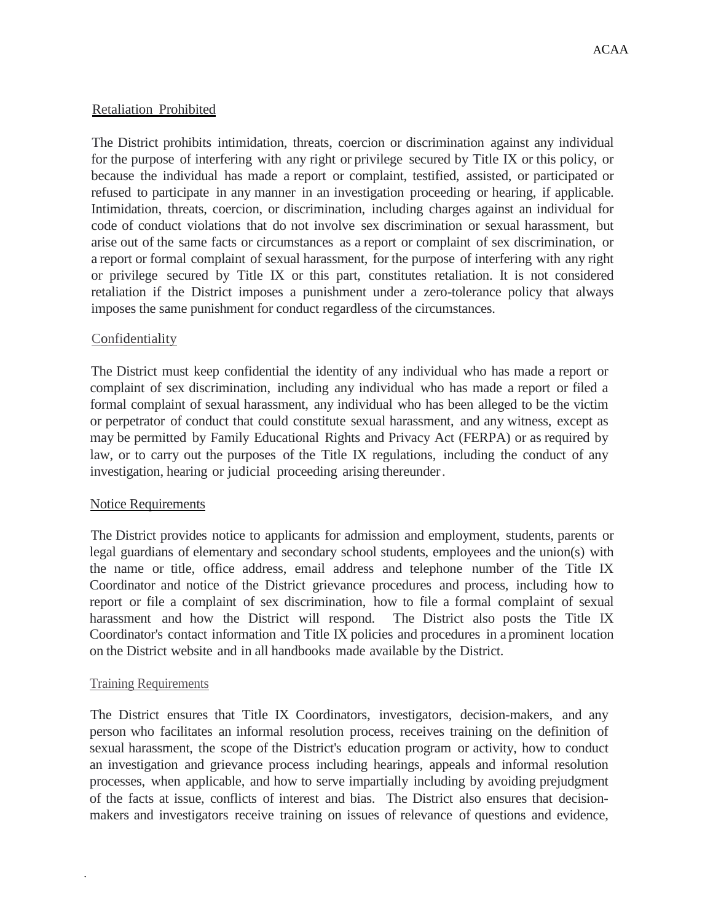# Retaliation Prohibited

The District prohibits intimidation, threats, coercion or discrimination against any individual for the purpose of interfering with any right or privilege secured by Title IX or this policy, or because the individual has made a report or complaint, testified, assisted, or participated or refused to participate in any manner in an investigation proceeding or hearing, if applicable. Intimidation, threats, coercion, or discrimination, including charges against an individual for code of conduct violations that do not involve sex discrimination or sexual harassment, but arise out of the same facts or circumstances as a report or complaint of sex discrimination, or a report or formal complaint of sexual harassment, for the purpose of interfering with any right or privilege secured by Title IX or this part, constitutes retaliation. It is not considered retaliation if the District imposes a punishment under a zero-tolerance policy that always imposes the same punishment for conduct regardless of the circumstances.

# Confidentiality

The District must keep confidential the identity of any individual who has made a report or complaint of sex discrimination, including any individual who has made a report or filed a formal complaint of sexual harassment, any individual who has been alleged to be the victim or perpetrator of conduct that could constitute sexual harassment, and any witness, except as may be permitted by Family Educational Rights and Privacy Act (FERPA) or as required by law, or to carry out the purposes of the Title IX regulations, including the conduct of any investigation, hearing or judicial proceeding arising thereunder.

## Notice Requirements

The District provides notice to applicants for admission and employment, students, parents or legal guardians of elementary and secondary school students, employees and the union(s) with the name or title, office address, email address and telephone number of the Title IX Coordinator and notice of the District grievance procedures and process, including how to report or file a complaint of sex discrimination, how to file a formal complaint of sexual harassment and how the District will respond. The District also posts the Title IX Coordinator's contact information and Title IX policies and procedures in a prominent location on the District website and in all handbooks made available by the District.

## Training Requirements

.

The District ensures that Title IX Coordinators, investigators, decision-makers, and any person who facilitates an informal resolution process, receives training on the definition of sexual harassment, the scope of the District's education program or activity, how to conduct an investigation and grievance process including hearings, appeals and informal resolution processes, when applicable, and how to serve impartially including by avoiding prejudgment of the facts at issue, conflicts of interest and bias. The District also ensures that decisionmakers and investigators receive training on issues of relevance of questions and evidence,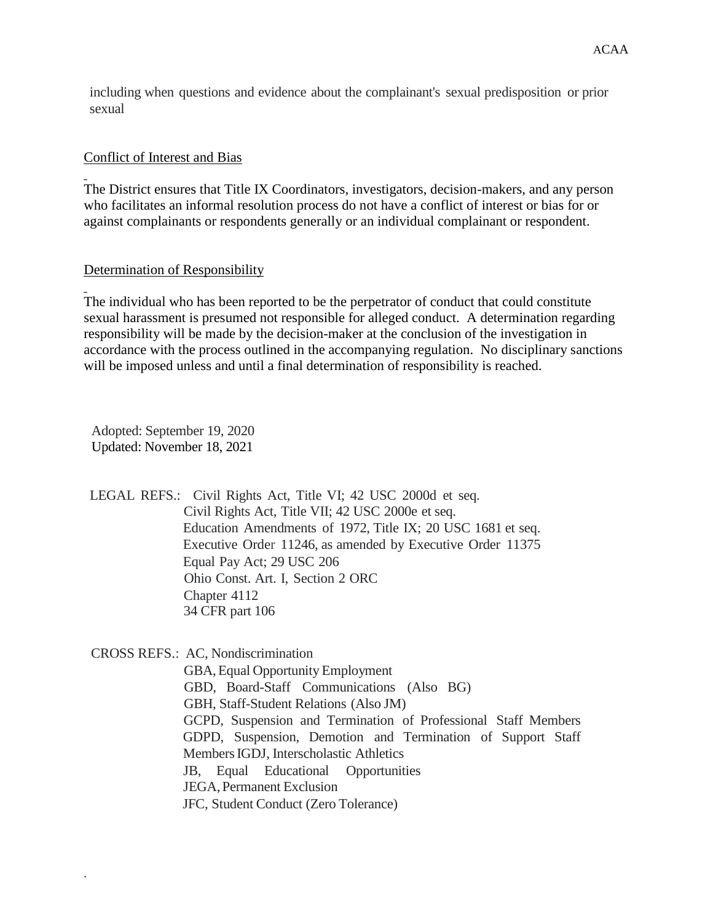including when questions and evidence about the complainant's sexual predisposition or prior sexual

# Conflict of Interest and Bias

The District ensures that Title IX Coordinators, investigators, decision-makers, and any person who facilitates an informal resolution process do not have a conflict of interest or bias for or against complainants or respondents generally or an individual complainant or respondent.

## Determination of Responsibility

The individual who has been reported to be the perpetrator of conduct that could constitute sexual harassment is presumed not responsible for alleged conduct. A determination regarding responsibility will be made by the decision-maker at the conclusion of the investigation in accordance with the process outlined in the accompanying regulation. No disciplinary sanctions will be imposed unless and until a final determination of responsibility is reached.

Adopted: September 19, 2020 Updated: November 18, 2021

.

LEGAL REFS.: Civil Rights Act, Title VI; 42 USC 2000d et seq. Civil Rights Act, Title VII; 42 USC 2000e et seq. Education Amendments of 1972, Title IX; 20 USC 1681 et seq. Executive Order 11246, as amended by Executive Order 11375 Equal Pay Act; 29 USC 206 Ohio Const. Art. I, Section 2 ORC Chapter 4112 34 CFR part 106

CROSS REFS.: AC, Nondiscrimination GBA,Equal Opportunity Employment GBD, Board-Staff Communications (Also BG) GBH, Staff-Student Relations (Also JM) GCPD, Suspension and Termination of Professional Staff Members GDPD, Suspension, Demotion and Termination of Support Staff MembersIGDJ, Interscholastic Athletics JB, Equal Educational Opportunities JEGA, Permanent Exclusion JFC, Student Conduct (Zero Tolerance)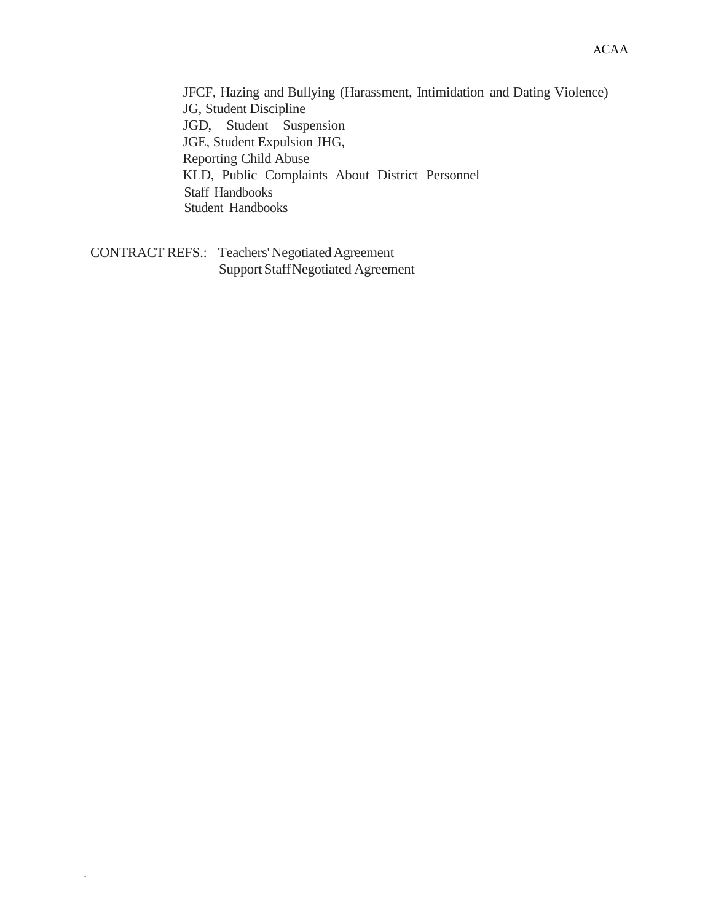JFCF, Hazing and Bullying (Harassment, Intimidation and Dating Violence) JG, Student Discipline JGD, Student Suspension JGE, Student Expulsion JHG, Reporting Child Abuse KLD, Public Complaints About District Personnel Staff Handbooks Student Handbooks

CONTRACT REFS.: Teachers' Negotiated Agreement Support StaffNegotiated Agreement

.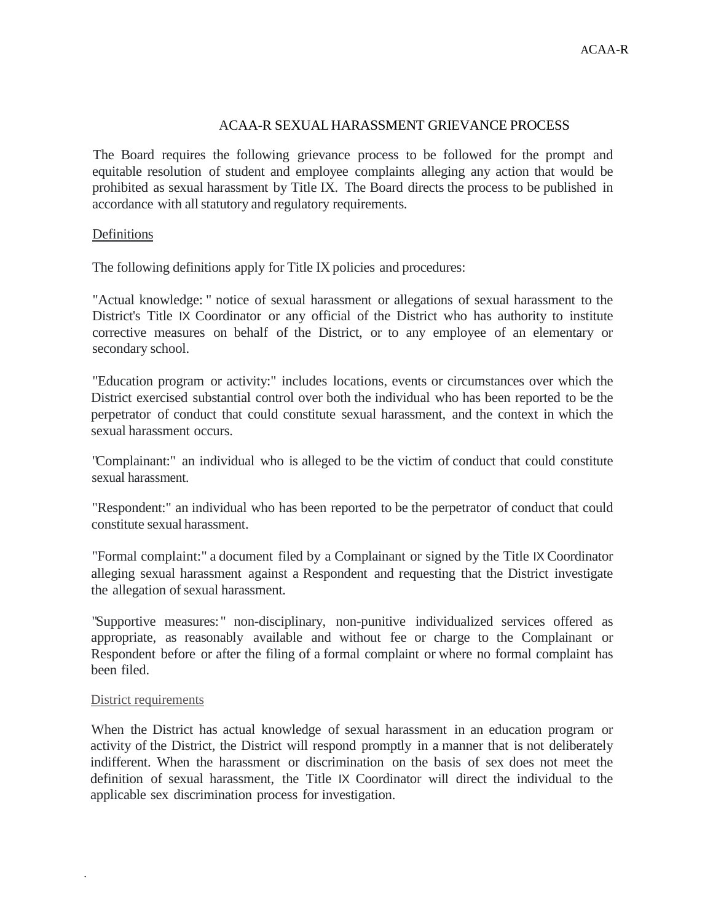# ACAA-R SEXUALHARASSMENT GRIEVANCE PROCESS

The Board requires the following grievance process to be followed for the prompt and equitable resolution of student and employee complaints alleging any action that would be prohibited as sexual harassment by Title IX. The Board directs the process to be published in accordance with all statutory and regulatory requirements.

## Definitions

The following definitions apply for Title IX policies and procedures:

"Actual knowledge: " notice of sexual harassment or allegations of sexual harassment to the District's Title IX Coordinator or any official of the District who has authority to institute corrective measures on behalf of the District, or to any employee of an elementary or secondary school.

"Education program or activity:" includes locations, events or circumstances over which the District exercised substantial control over both the individual who has been reported to be the perpetrator of conduct that could constitute sexual harassment, and the context in which the sexual harassment occurs.

"Complainant:" an individual who is alleged to be the victim of conduct that could constitute sexual harassment.

"Respondent:" an individual who has been reported to be the perpetrator of conduct that could constitute sexual harassment.

"Formal complaint:" a document filed by a Complainant or signed by the Title IX Coordinator alleging sexual harassment against a Respondent and requesting that the District investigate the allegation of sexual harassment.

"Supportive measures: " non-disciplinary, non-punitive individualized services offered as appropriate, as reasonably available and without fee or charge to the Complainant or Respondent before or after the filing of a formal complaint or where no formal complaint has been filed.

## District requirements

.

When the District has actual knowledge of sexual harassment in an education program or activity of the District, the District will respond promptly in a manner that is not deliberately indifferent. When the harassment or discrimination on the basis of sex does not meet the definition of sexual harassment, the Title IX Coordinator will direct the individual to the applicable sex discrimination process for investigation.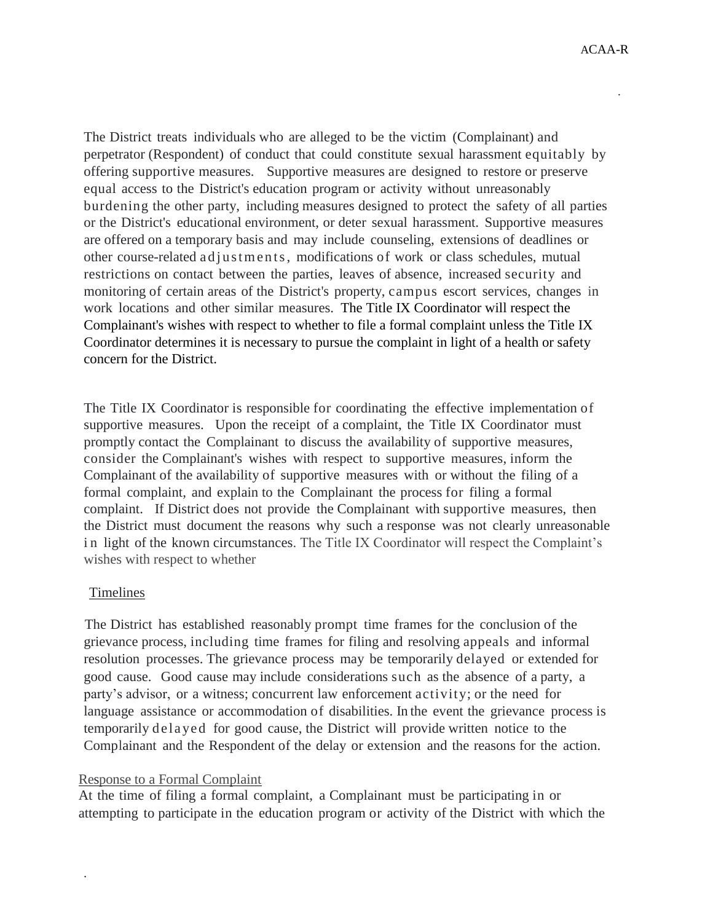.

The District treats individuals who are alleged to be the victim (Complainant) and perpetrator (Respondent) of conduct that could constitute sexual harassment equitably by offering supportive measures. Supportive measures are designed to restore or preserve equal access to the District's education program or activity without unreasonably burdening the other party, including measures designed to protect the safety of all parties or the District's educational environment, or deter sexual harassment. Supportive measures are offered on a temporary basis and may include counseling, extensions of deadlines or other course-related a d j u s t m e n t s, modifications of work or class schedules, mutual restrictions on contact between the parties, leaves of absence, increased security and monitoring of certain areas of the District's property, campus escort services, changes in work locations and other similar measures. The Title IX Coordinator will respect the Complainant's wishes with respect to whether to file a formal complaint unless the Title IX Coordinator determines it is necessary to pursue the complaint in light of a health or safety concern for the District.

The Title IX Coordinator is responsible for coordinating the effective implementation of supportive measures. Upon the receipt of a complaint, the Title IX Coordinator must promptly contact the Complainant to discuss the availability of supportive measures, consider the Complainant's wishes with respect to supportive measures, inform the Complainant of the availability of supportive measures with or without the filing of a formal complaint, and explain to the Complainant the process for filing a formal complaint. If District does not provide the Complainant with supportive measures, then the District must document the reasons why such a response was not clearly unreasonable in light of the known circumstances. The Title IX Coordinator will respect the Complaint's wishes with respect to whether

## Timelines

.

The District has established reasonably prompt time frames for the conclusion of the grievance process, including time frames for filing and resolving appeals and informal resolution processes. The grievance process may be temporarily delayed or extended for good cause. Good cause may include considerations such as the absence of a party, a party's advisor, or a witness; concurrent law enforcement activity; or the need for language assistance or accommodation of disabilities. In the event the grievance process is temporarily dela yed for good cause, the District will provide written notice to the Complainant and the Respondent of the delay or extension and the reasons for the action.

### Response to a Formal Complaint

At the time of filing a formal complaint, a Complainant must be participating in or attempting to participate in the education program or activity of the District with which the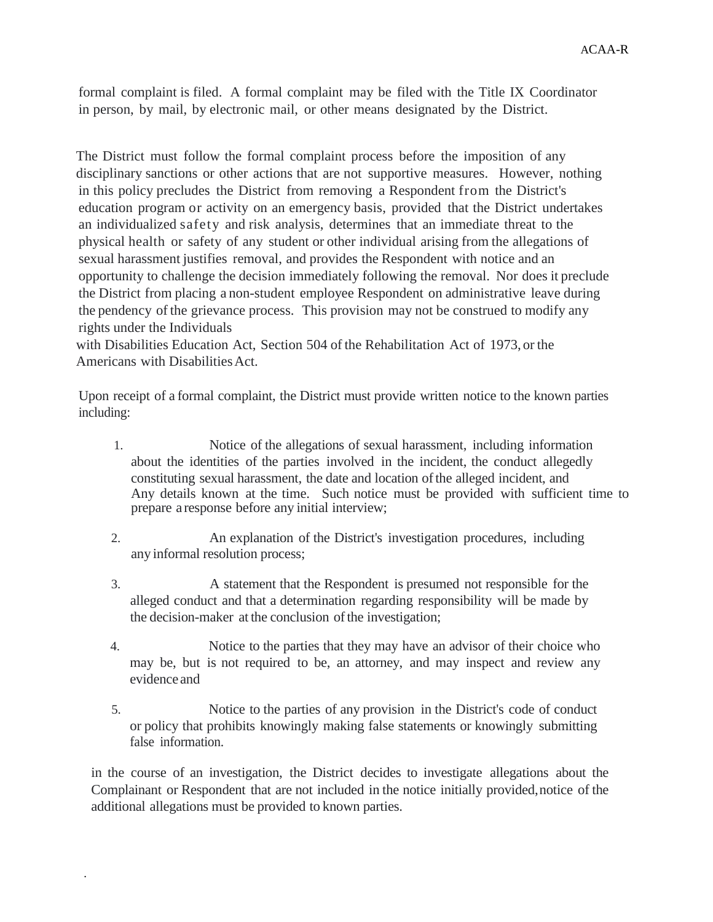formal complaint is filed. A formal complaint may be filed with the Title IX Coordinator in person, by mail, by electronic mail, or other means designated by the District.

The District must follow the formal complaint process before the imposition of any disciplinary sanctions or other actions that are not supportive measures. However, nothing in this policy precludes the District from removing a Respondent from the District's education program or activity on an emergency basis, provided that the District undertakes an individualized safety and risk analysis, determines that an immediate threat to the physical health or safety of any student or other individual arising from the allegations of sexual harassment justifies removal, and provides the Respondent with notice and an opportunity to challenge the decision immediately following the removal. Nor does it preclude the District from placing a non-student employee Respondent on administrative leave during the pendency of the grievance process. This provision may not be construed to modify any rights under the Individuals

with Disabilities Education Act, Section 504 of the Rehabilitation Act of 1973, or the Americans with Disabilities Act.

Upon receipt of a formal complaint, the District must provide written notice to the known parties including:

- 1. Notice of the allegations of sexual harassment, including information about the identities of the parties involved in the incident, the conduct allegedly constituting sexual harassment, the date and location ofthe alleged incident, and Any details known at the time. Such notice must be provided with sufficient time to prepare a response before any initial interview;
- 2. An explanation of the District's investigation procedures, including any informal resolution process;
- 3. A statement that the Respondent is presumed not responsible for the alleged conduct and that a determination regarding responsibility will be made by the decision-maker at the conclusion of the investigation;
- 4. Notice to the parties that they may have an advisor of their choice who may be, but is not required to be, an attorney, and may inspect and review any evidence and
- 5. Notice to the parties of any provision in the District's code of conduct or policy that prohibits knowingly making false statements or knowingly submitting false information.

in the course of an investigation, the District decides to investigate allegations about the Complainant or Respondent that are not included in the notice initially provided,notice of the additional allegations must be provided to known parties.

.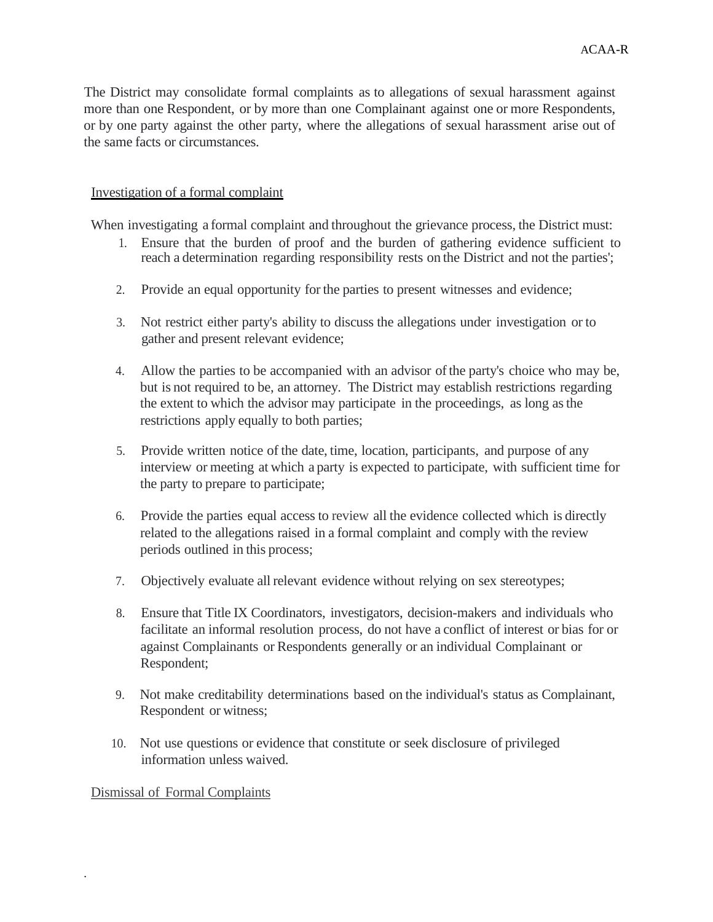The District may consolidate formal complaints as to allegations of sexual harassment against more than one Respondent, or by more than one Complainant against one or more Respondents, or by one party against the other party, where the allegations of sexual harassment arise out of the same facts or circumstances.

# Investigation of a formal complaint

When investigating a formal complaint and throughout the grievance process, the District must:

- 1. Ensure that the burden of proof and the burden of gathering evidence sufficient to reach a determination regarding responsibility rests on the District and not the parties';
- 2. Provide an equal opportunity for the parties to present witnesses and evidence;
- 3. Not restrict either party's ability to discuss the allegations under investigation or to gather and present relevant evidence;
- 4. Allow the parties to be accompanied with an advisor ofthe party's choice who may be, but is not required to be, an attorney. The District may establish restrictions regarding the extent to which the advisor may participate in the proceedings, as long asthe restrictions apply equally to both parties;
- 5. Provide written notice of the date, time, location, participants, and purpose of any interview or meeting at which a party is expected to participate, with sufficient time for the party to prepare to participate;
- 6. Provide the parties equal access to review all the evidence collected which is directly related to the allegations raised in a formal complaint and comply with the review periods outlined in this process;
- 7. Objectively evaluate all relevant evidence without relying on sex stereotypes;
- 8. Ensure that Title IX Coordinators, investigators, decision-makers and individuals who facilitate an informal resolution process, do not have a conflict of interest or bias for or against Complainants or Respondents generally or an individual Complainant or Respondent;
- 9. Not make creditability determinations based on the individual's status as Complainant, Respondent or witness;
- 10. Not use questions or evidence that constitute or seek disclosure of privileged information unless waived.

## Dismissal of Formal Complaints

.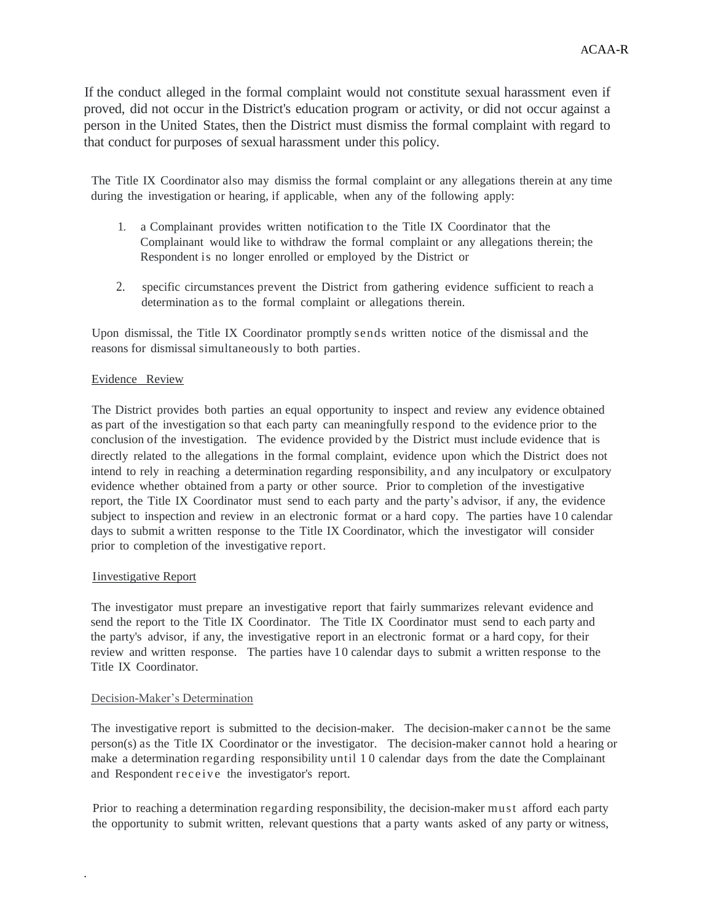If the conduct alleged in the formal complaint would not constitute sexual harassment even if proved, did not occur in the District's education program or activity, or did not occur against a person in the United States, then the District must dismiss the formal complaint with regard to that conduct for purposes of sexual harassment under this policy.

The Title IX Coordinator also may dismiss the formal complaint or any allegations therein at any time during the investigation or hearing, if applicable, when any of the following apply:

- 1. a Complainant provides written notification to the Title IX Coordinator that the Complainant would like to withdraw the formal complaint or any allegations therein; the Respondent is no longer enrolled or employed by the District or
- 2. specific circumstances prevent the District from gathering evidence sufficient to reach a determination as to the formal complaint or allegations therein.

Upon dismissal, the Title IX Coordinator promptly sends written notice of the dismissal and the reasons for dismissal simultaneously to both parties.

#### Evidence Review

The District provides both parties an equal opportunity to inspect and review any evidence obtained as part of the investigation so that each party can meaningfully respond to the evidence prior to the conclusion of the investigation. The evidence provided by the District must include evidence that is directly related to the allegations in the formal complaint, evidence upon which the District does not intend to rely in reaching a determination regarding responsibility, and any inculpatory or exculpatory evidence whether obtained from a party or other source. Prior to completion of the investigative report, the Title IX Coordinator must send to each party and the party's advisor, if any, the evidence subject to inspection and review in an electronic format or a hard copy. The parties have 10 calendar days to submit a written response to the Title IX Coordinator, which the investigator will consider prior to completion of the investigative report.

### Iinvestigative Report

.

The investigator must prepare an investigative report that fairly summarizes relevant evidence and send the report to the Title IX Coordinator. The Title IX Coordinator must send to each party and the party's advisor, if any, the investigative report in an electronic format or a hard copy, for their review and written response. The parties have 1 0 calendar days to submit a written response to the Title IX Coordinator.

#### Decision-Maker's Determination

The investigative report is submitted to the decision-maker. The decision-maker cannot be the same person(s) as the Title IX Coordinator or the investigator. The decision-maker cannot hold a hearing or make a determination regarding responsibility until 1 0 calendar days from the date the Complainant and Respondent receive the investigator's report.

Prior to reaching a determination regarding responsibility, the decision-maker mu st afford each party the opportunity to submit written, relevant questions that a party wants asked of any party or witness,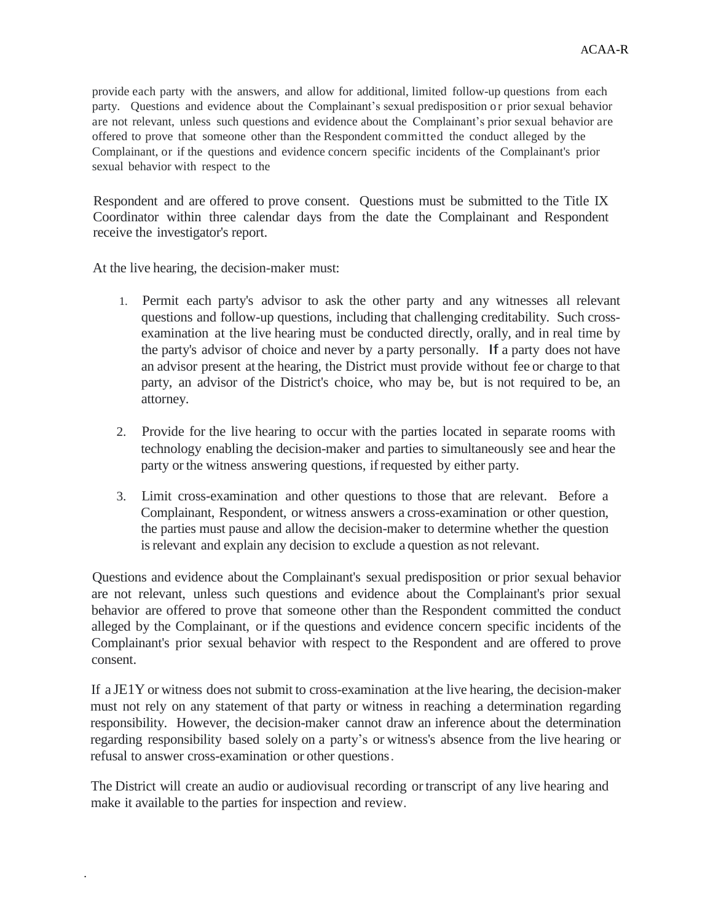provide each party with the answers, and allow for additional, limited follow-up questions from each party. Questions and evidence about the Complainant's sexual predisposition or prior sexual behavior are not relevant, unless such questions and evidence about the Complainant's prior sexual behavior are offered to prove that someone other than the Respondent committed the conduct alleged by the Complainant, or if the questions and evidence concern specific incidents of the Complainant's prior sexual behavior with respect to the

Respondent and are offered to prove consent. Questions must be submitted to the Title IX Coordinator within three calendar days from the date the Complainant and Respondent receive the investigator's report.

At the live hearing, the decision-maker must:

.

- 1. Permit each party's advisor to ask the other party and any witnesses all relevant questions and follow-up questions, including that challenging creditability. Such crossexamination at the live hearing must be conducted directly, orally, and in real time by the party's advisor of choice and never by a party personally. If a party does not have an advisor present at the hearing, the District must provide without fee or charge to that party, an advisor of the District's choice, who may be, but is not required to be, an attorney.
- 2. Provide for the live hearing to occur with the parties located in separate rooms with technology enabling the decision-maker and parties to simultaneously see and hear the party or the witness answering questions, ifrequested by either party.
- 3. Limit cross-examination and other questions to those that are relevant. Before a Complainant, Respondent, or witness answers a cross-examination or other question, the parties must pause and allow the decision-maker to determine whether the question isrelevant and explain any decision to exclude a question as not relevant.

Questions and evidence about the Complainant's sexual predisposition or prior sexual behavior are not relevant, unless such questions and evidence about the Complainant's prior sexual behavior are offered to prove that someone other than the Respondent committed the conduct alleged by the Complainant, or if the questions and evidence concern specific incidents of the Complainant's prior sexual behavior with respect to the Respondent and are offered to prove consent.

If a JE1Y or witness does not submit to cross-examination at the live hearing, the decision-maker must not rely on any statement of that party or witness in reaching a determination regarding responsibility. However, the decision-maker cannot draw an inference about the determination regarding responsibility based solely on a party's or witness's absence from the live hearing or refusal to answer cross-examination or other questions.

The District will create an audio or audiovisual recording or transcript of any live hearing and make it available to the parties for inspection and review.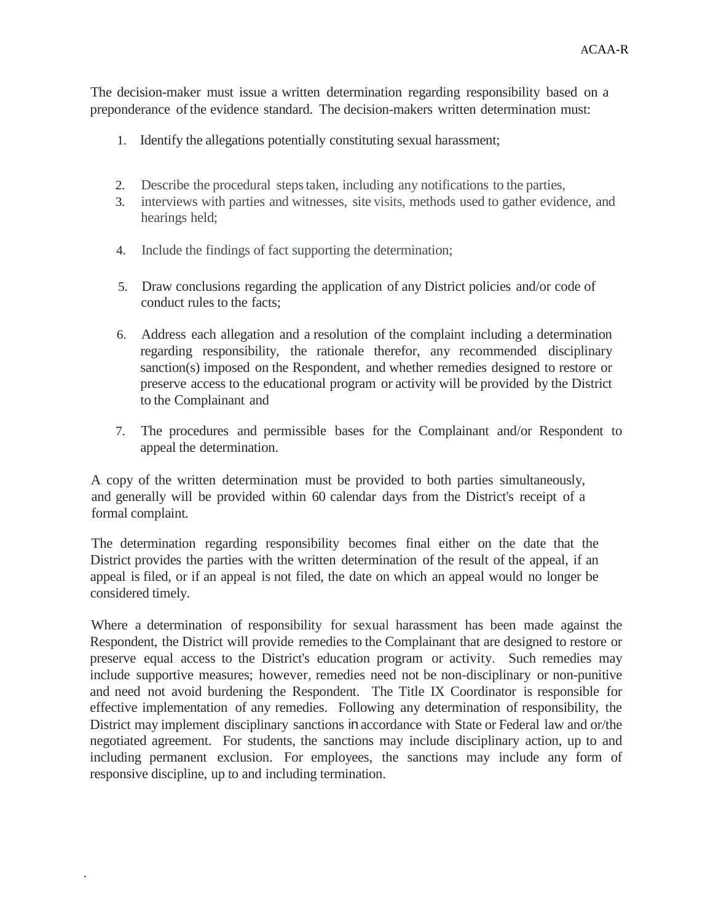The decision-maker must issue a written determination regarding responsibility based on a preponderance ofthe evidence standard. The decision-makers written determination must:

- 1. Identify the allegations potentially constituting sexual harassment;
- 2. Describe the procedural stepstaken, including any notifications to the parties,
- 3. interviews with parties and witnesses, site visits, methods used to gather evidence, and hearings held;
- 4. Include the findings of fact supporting the determination;
- 5. Draw conclusions regarding the application of any District policies and/or code of conduct rules to the facts;
- 6. Address each allegation and a resolution of the complaint including a determination regarding responsibility, the rationale therefor, any recommended disciplinary sanction(s) imposed on the Respondent, and whether remedies designed to restore or preserve access to the educational program or activity will be provided by the District to the Complainant and
- 7. The procedures and permissible bases for the Complainant and/or Respondent to appeal the determination.

A copy of the written determination must be provided to both parties simultaneously, and generally will be provided within 60 calendar days from the District's receipt of a formal complaint.

The determination regarding responsibility becomes final either on the date that the District provides the parties with the written determination of the result of the appeal, if an appeal is filed, or if an appeal is not filed, the date on which an appeal would no longer be considered timely.

Where a determination of responsibility for sexual harassment has been made against the Respondent, the District will provide remedies to the Complainant that are designed to restore or preserve equal access to the District's education program or activity. Such remedies may include supportive measures; however, remedies need not be non-disciplinary or non-punitive and need not avoid burdening the Respondent. The Title IX Coordinator is responsible for effective implementation of any remedies. Following any determination of responsibility, the District may implement disciplinary sanctions in accordance with State or Federal law and or/the negotiated agreement. For students, the sanctions may include disciplinary action, up to and including permanent exclusion. For employees, the sanctions may include any form of responsive discipline, up to and including termination.

.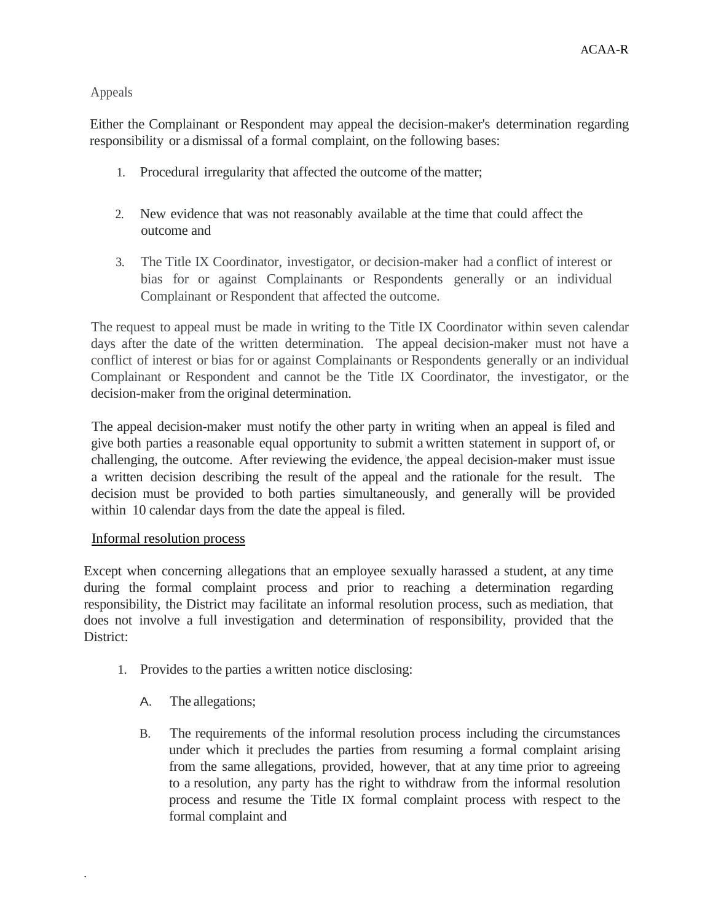# Appeals

Either the Complainant or Respondent may appeal the decision-maker's determination regarding responsibility or a dismissal of a formal complaint, on the following bases:

- 1. Procedural irregularity that affected the outcome of the matter;
- 2. New evidence that was not reasonably available at the time that could affect the outcome and
- 3. The Title IX Coordinator, investigator, or decision-maker had a conflict of interest or bias for or against Complainants or Respondents generally or an individual Complainant or Respondent that affected the outcome.

The request to appeal must be made in writing to the Title IX Coordinator within seven calendar days after the date of the written determination. The appeal decision-maker must not have a conflict of interest or bias for or against Complainants or Respondents generally or an individual Complainant or Respondent and cannot be the Title IX Coordinator, the investigator, or the decision-maker from the original determination.

The appeal decision-maker must notify the other party in writing when an appeal is filed and give both parties a reasonable equal opportunity to submit a written statement in support of, or challenging, the outcome. After reviewing the evidence,'the appeal decision-maker must issue a written decision describing the result of the appeal and the rationale for the result. The decision must be provided to both parties simultaneously, and generally will be provided within 10 calendar days from the date the appeal is filed.

# Informal resolution process

Except when concerning allegations that an employee sexually harassed a student, at any time during the formal complaint process and prior to reaching a determination regarding responsibility, the District may facilitate an informal resolution process, such as mediation, that does not involve a full investigation and determination of responsibility, provided that the District:

- 1. Provides to the parties a written notice disclosing:
	- A. The allegations;

.

B. The requirements of the informal resolution process including the circumstances under which it precludes the parties from resuming a formal complaint arising from the same allegations, provided, however, that at any time prior to agreeing to a resolution, any party has the right to withdraw from the informal resolution process and resume the Title IX formal complaint process with respect to the formal complaint and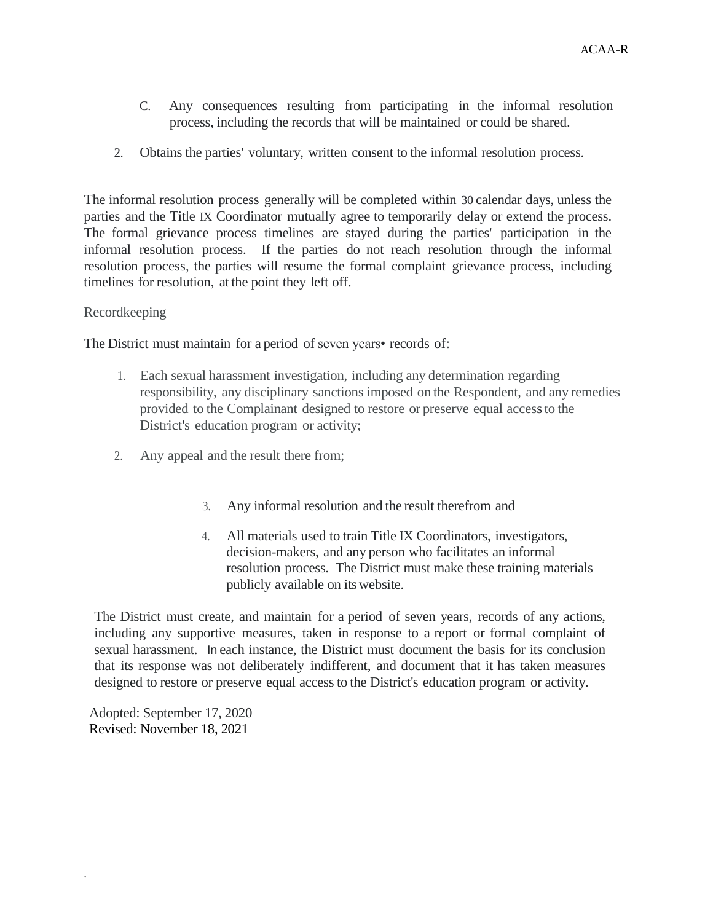- C. Any consequences resulting from participating in the informal resolution process, including the records that will be maintained or could be shared.
- 2. Obtains the parties' voluntary, written consent to the informal resolution process.

The informal resolution process generally will be completed within 30 calendar days, unless the parties and the Title IX Coordinator mutually agree to temporarily delay or extend the process. The formal grievance process timelines are stayed during the parties' participation in the informal resolution process. If the parties do not reach resolution through the informal resolution process, the parties will resume the formal complaint grievance process, including timelines for resolution, at the point they left off.

# Recordkeeping

The District must maintain for a period of seven years• records of:

- 1. Each sexual harassment investigation, including any determination regarding responsibility, any disciplinary sanctions imposed on the Respondent, and any remedies provided to the Complainant designed to restore or preserve equal accessto the District's education program or activity;
- 2. Any appeal and the result there from;
	- 3. Any informal resolution and the result therefrom and
	- 4. All materials used to train Title IX Coordinators, investigators, decision-makers, and any person who facilitates an informal resolution process. The District must make these training materials publicly available on itswebsite.

The District must create, and maintain for a period of seven years, records of any actions, including any supportive measures, taken in response to a report or formal complaint of sexual harassment. In each instance, the District must document the basis for its conclusion that its response was not deliberately indifferent, and document that it has taken measures designed to restore or preserve equal accessto the District's education program or activity.

Adopted: September 17, 2020 Revised: November 18, 2021

.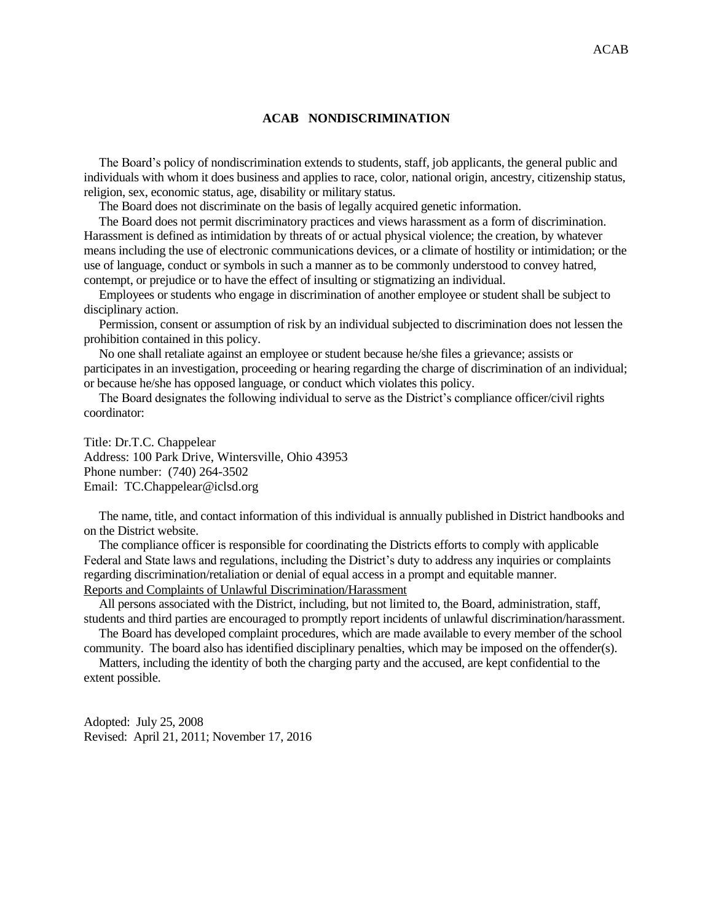#### **ACAB NONDISCRIMINATION**

 The Board's policy of nondiscrimination extends to students, staff, job applicants, the general public and individuals with whom it does business and applies to race, color, national origin, ancestry, citizenship status, religion, sex, economic status, age, disability or military status.

The Board does not discriminate on the basis of legally acquired genetic information.

 The Board does not permit discriminatory practices and views harassment as a form of discrimination. Harassment is defined as intimidation by threats of or actual physical violence; the creation, by whatever means including the use of electronic communications devices, or a climate of hostility or intimidation; or the use of language, conduct or symbols in such a manner as to be commonly understood to convey hatred, contempt, or prejudice or to have the effect of insulting or stigmatizing an individual.

 Employees or students who engage in discrimination of another employee or student shall be subject to disciplinary action.

 Permission, consent or assumption of risk by an individual subjected to discrimination does not lessen the prohibition contained in this policy.

 No one shall retaliate against an employee or student because he/she files a grievance; assists or participates in an investigation, proceeding or hearing regarding the charge of discrimination of an individual; or because he/she has opposed language, or conduct which violates this policy.

 The Board designates the following individual to serve as the District's compliance officer/civil rights coordinator:

Title: Dr.T.C. Chappelear Address: 100 Park Drive, Wintersville, Ohio 43953 Phone number: (740) 264-3502 Email: TC.Chappelear@iclsd.org

 The name, title, and contact information of this individual is annually published in District handbooks and on the District website.

 The compliance officer is responsible for coordinating the Districts efforts to comply with applicable Federal and State laws and regulations, including the District's duty to address any inquiries or complaints regarding discrimination/retaliation or denial of equal access in a prompt and equitable manner. Reports and Complaints of Unlawful Discrimination/Harassment

 All persons associated with the District, including, but not limited to, the Board, administration, staff, students and third parties are encouraged to promptly report incidents of unlawful discrimination/harassment.

 The Board has developed complaint procedures, which are made available to every member of the school community. The board also has identified disciplinary penalties, which may be imposed on the offender(s).

 Matters, including the identity of both the charging party and the accused, are kept confidential to the extent possible.

Adopted: July 25, 2008 Revised: April 21, 2011; November 17, 2016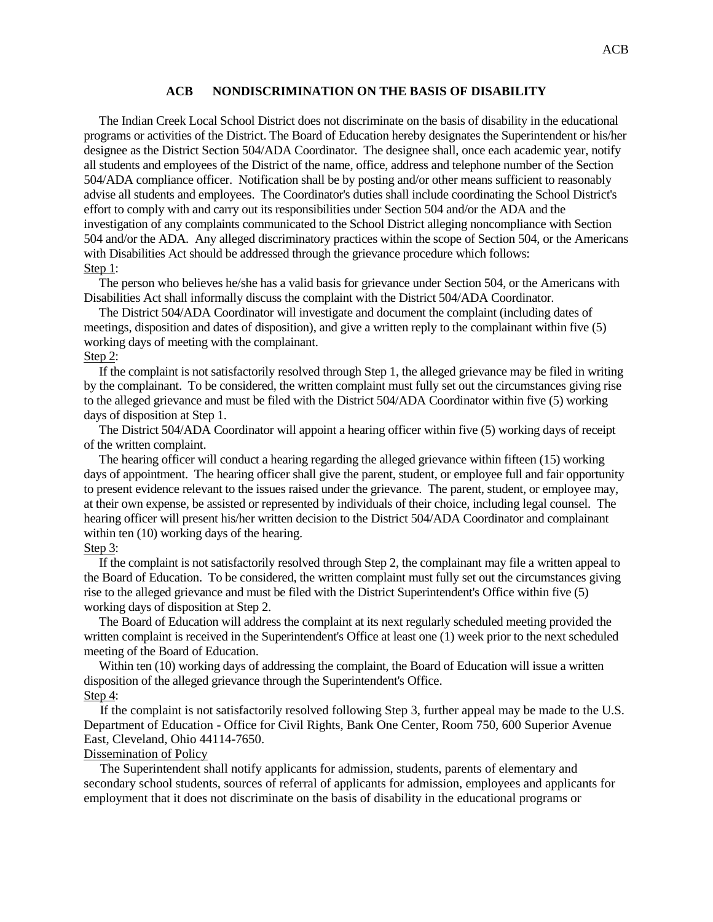#### **ACB NONDISCRIMINATION ON THE BASIS OF DISABILITY**

 The Indian Creek Local School District does not discriminate on the basis of disability in the educational programs or activities of the District. The Board of Education hereby designates the Superintendent or his/her designee as the District Section 504/ADA Coordinator. The designee shall, once each academic year, notify all students and employees of the District of the name, office, address and telephone number of the Section 504/ADA compliance officer. Notification shall be by posting and/or other means sufficient to reasonably advise all students and employees. The Coordinator's duties shall include coordinating the School District's effort to comply with and carry out its responsibilities under Section 504 and/or the ADA and the investigation of any complaints communicated to the School District alleging noncompliance with Section 504 and/or the ADA. Any alleged discriminatory practices within the scope of Section 504, or the Americans with Disabilities Act should be addressed through the grievance procedure which follows: Step 1:

 The person who believes he/she has a valid basis for grievance under Section 504, or the Americans with Disabilities Act shall informally discuss the complaint with the District 504/ADA Coordinator.

 The District 504/ADA Coordinator will investigate and document the complaint (including dates of meetings, disposition and dates of disposition), and give a written reply to the complainant within five (5) working days of meeting with the complainant.

#### Step 2:

 If the complaint is not satisfactorily resolved through Step 1, the alleged grievance may be filed in writing by the complainant. To be considered, the written complaint must fully set out the circumstances giving rise to the alleged grievance and must be filed with the District 504/ADA Coordinator within five (5) working days of disposition at Step 1.

 The District 504/ADA Coordinator will appoint a hearing officer within five (5) working days of receipt of the written complaint.

 The hearing officer will conduct a hearing regarding the alleged grievance within fifteen (15) working days of appointment. The hearing officer shall give the parent, student, or employee full and fair opportunity to present evidence relevant to the issues raised under the grievance. The parent, student, or employee may, at their own expense, be assisted or represented by individuals of their choice, including legal counsel. The hearing officer will present his/her written decision to the District 504/ADA Coordinator and complainant within ten  $(10)$  working days of the hearing.

#### Step 3:

 If the complaint is not satisfactorily resolved through Step 2, the complainant may file a written appeal to the Board of Education. To be considered, the written complaint must fully set out the circumstances giving rise to the alleged grievance and must be filed with the District Superintendent's Office within five (5) working days of disposition at Step 2.

 The Board of Education will address the complaint at its next regularly scheduled meeting provided the written complaint is received in the Superintendent's Office at least one (1) week prior to the next scheduled meeting of the Board of Education.

Within ten (10) working days of addressing the complaint, the Board of Education will issue a written disposition of the alleged grievance through the Superintendent's Office. Step 4:

 If the complaint is not satisfactorily resolved following Step 3, further appeal may be made to the U.S. Department of Education - Office for Civil Rights, Bank One Center, Room 750, 600 Superior Avenue East, Cleveland, Ohio 44114-7650.

#### Dissemination of Policy

 The Superintendent shall notify applicants for admission, students, parents of elementary and secondary school students, sources of referral of applicants for admission, employees and applicants for employment that it does not discriminate on the basis of disability in the educational programs or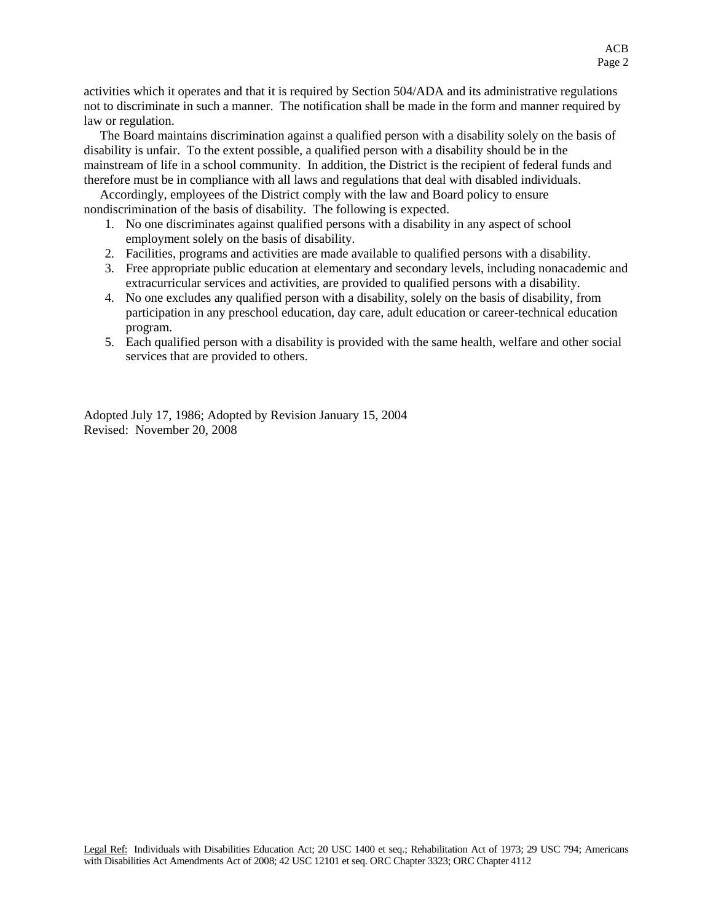activities which it operates and that it is required by Section 504/ADA and its administrative regulations not to discriminate in such a manner. The notification shall be made in the form and manner required by law or regulation.

 The Board maintains discrimination against a qualified person with a disability solely on the basis of disability is unfair. To the extent possible, a qualified person with a disability should be in the mainstream of life in a school community. In addition, the District is the recipient of federal funds and therefore must be in compliance with all laws and regulations that deal with disabled individuals.

 Accordingly, employees of the District comply with the law and Board policy to ensure nondiscrimination of the basis of disability. The following is expected.

- 1. No one discriminates against qualified persons with a disability in any aspect of school employment solely on the basis of disability.
- 2. Facilities, programs and activities are made available to qualified persons with a disability.
- 3. Free appropriate public education at elementary and secondary levels, including nonacademic and extracurricular services and activities, are provided to qualified persons with a disability.
- 4. No one excludes any qualified person with a disability, solely on the basis of disability, from participation in any preschool education, day care, adult education or career-technical education program.
- 5. Each qualified person with a disability is provided with the same health, welfare and other social services that are provided to others.

Adopted July 17, 1986; Adopted by Revision January 15, 2004 Revised: November 20, 2008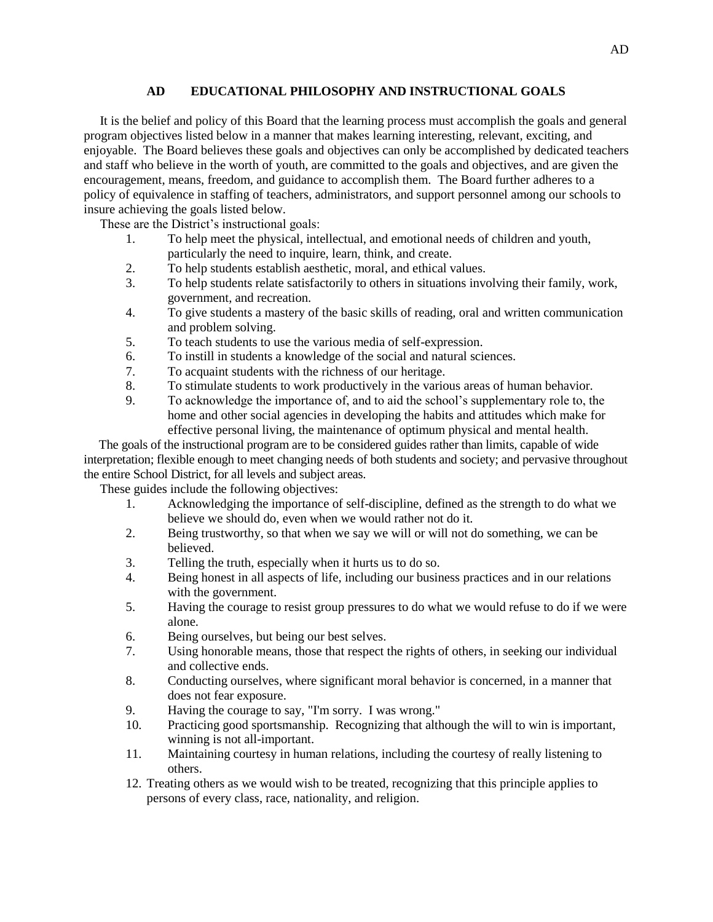## **AD EDUCATIONAL PHILOSOPHY AND INSTRUCTIONAL GOALS**

 It is the belief and policy of this Board that the learning process must accomplish the goals and general program objectives listed below in a manner that makes learning interesting, relevant, exciting, and enjoyable. The Board believes these goals and objectives can only be accomplished by dedicated teachers and staff who believe in the worth of youth, are committed to the goals and objectives, and are given the encouragement, means, freedom, and guidance to accomplish them. The Board further adheres to a policy of equivalence in staffing of teachers, administrators, and support personnel among our schools to insure achieving the goals listed below.

These are the District's instructional goals:

- 1. To help meet the physical, intellectual, and emotional needs of children and youth, particularly the need to inquire, learn, think, and create.
- 2. To help students establish aesthetic, moral, and ethical values.
- 3. To help students relate satisfactorily to others in situations involving their family, work, government, and recreation.
- 4. To give students a mastery of the basic skills of reading, oral and written communication and problem solving.
- 5. To teach students to use the various media of self-expression.
- 6. To instill in students a knowledge of the social and natural sciences.
- 7. To acquaint students with the richness of our heritage.
- 8. To stimulate students to work productively in the various areas of human behavior.
- 9. To acknowledge the importance of, and to aid the school's supplementary role to, the home and other social agencies in developing the habits and attitudes which make for effective personal living, the maintenance of optimum physical and mental health.

 The goals of the instructional program are to be considered guides rather than limits, capable of wide interpretation; flexible enough to meet changing needs of both students and society; and pervasive throughout the entire School District, for all levels and subject areas.

These guides include the following objectives:

- 1. Acknowledging the importance of self-discipline, defined as the strength to do what we believe we should do, even when we would rather not do it.
- 2. Being trustworthy, so that when we say we will or will not do something, we can be believed.
- 3. Telling the truth, especially when it hurts us to do so.
- 4. Being honest in all aspects of life, including our business practices and in our relations with the government.
- 5. Having the courage to resist group pressures to do what we would refuse to do if we were alone.
- 6. Being ourselves, but being our best selves.
- 7. Using honorable means, those that respect the rights of others, in seeking our individual and collective ends.
- 8. Conducting ourselves, where significant moral behavior is concerned, in a manner that does not fear exposure.
- 9. Having the courage to say, "I'm sorry. I was wrong."
- 10. Practicing good sportsmanship. Recognizing that although the will to win is important, winning is not all-important.
- 11. Maintaining courtesy in human relations, including the courtesy of really listening to others.
- 12. Treating others as we would wish to be treated, recognizing that this principle applies to persons of every class, race, nationality, and religion.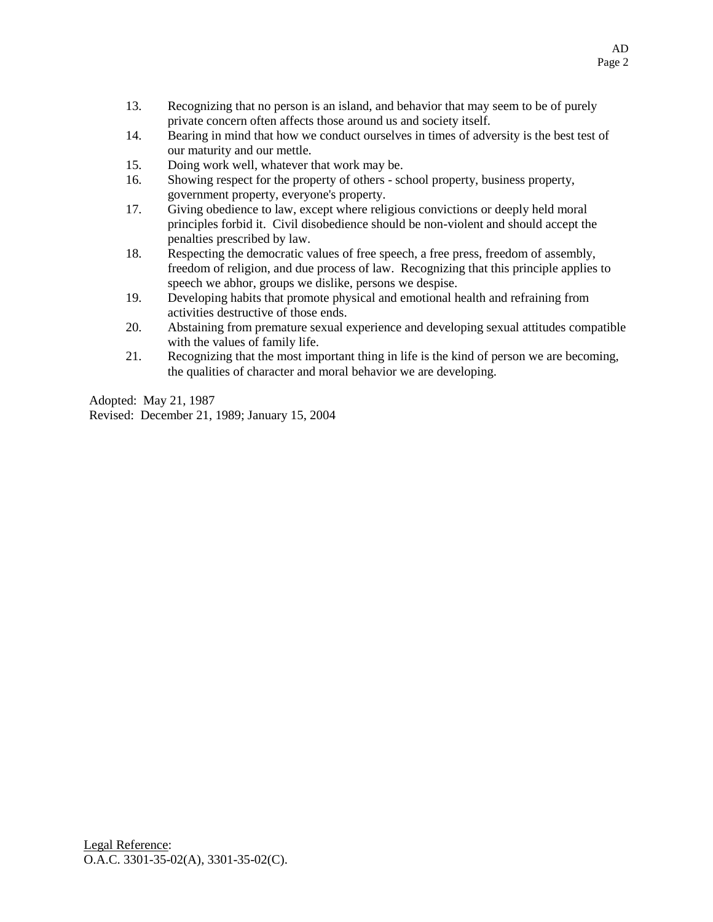- 13. Recognizing that no person is an island, and behavior that may seem to be of purely private concern often affects those around us and society itself.
- 14. Bearing in mind that how we conduct ourselves in times of adversity is the best test of our maturity and our mettle.
- 15. Doing work well, whatever that work may be.
- 16. Showing respect for the property of others school property, business property, government property, everyone's property.
- 17. Giving obedience to law, except where religious convictions or deeply held moral principles forbid it. Civil disobedience should be non-violent and should accept the penalties prescribed by law.
- 18. Respecting the democratic values of free speech, a free press, freedom of assembly, freedom of religion, and due process of law. Recognizing that this principle applies to speech we abhor, groups we dislike, persons we despise.
- 19. Developing habits that promote physical and emotional health and refraining from activities destructive of those ends.
- 20. Abstaining from premature sexual experience and developing sexual attitudes compatible with the values of family life.
- 21. Recognizing that the most important thing in life is the kind of person we are becoming, the qualities of character and moral behavior we are developing.

Adopted: May 21, 1987 Revised: December 21, 1989; January 15, 2004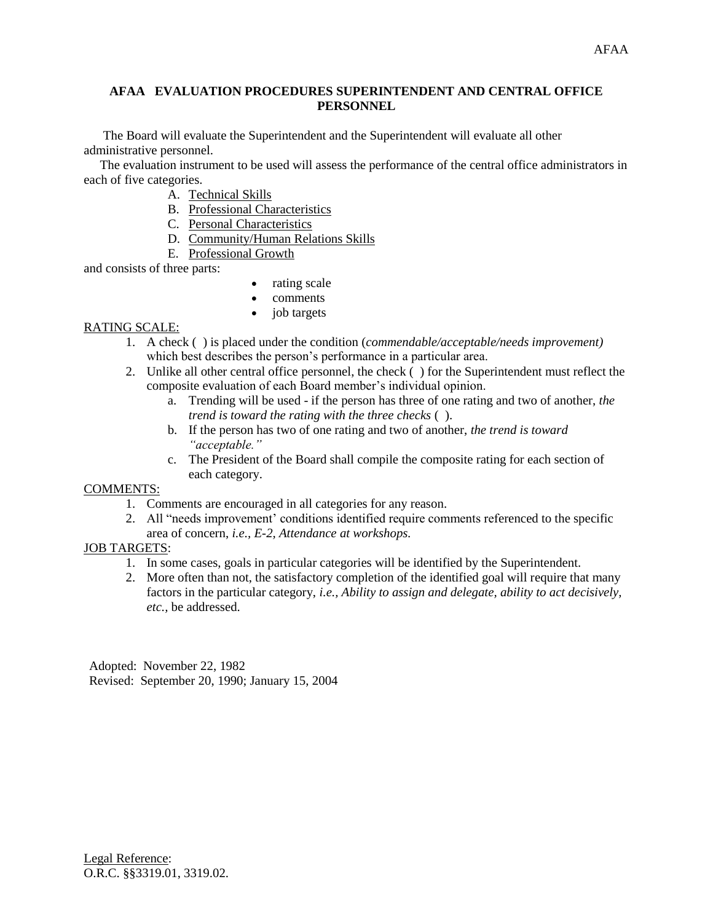## **AFAA EVALUATION PROCEDURES SUPERINTENDENT AND CENTRAL OFFICE PERSONNEL**

 The Board will evaluate the Superintendent and the Superintendent will evaluate all other administrative personnel.

 The evaluation instrument to be used will assess the performance of the central office administrators in each of five categories.

- A. Technical Skills
- B. Professional Characteristics
- C. Personal Characteristics
- D. Community/Human Relations Skills
- E. Professional Growth

and consists of three parts:

- rating scale
- comments
- job targets

## RATING SCALE:

- 1. A check ( ) is placed under the condition (*commendable/acceptable/needs improvement)*  which best describes the person's performance in a particular area.
- 2. Unlike all other central office personnel, the check ( ) for the Superintendent must reflect the composite evaluation of each Board member's individual opinion.
	- a. Trending will be used if the person has three of one rating and two of another, *the trend is toward the rating with the three checks* ( ).
	- b. If the person has two of one rating and two of another, *the trend is toward "acceptable."*
	- c. The President of the Board shall compile the composite rating for each section of each category.

## COMMENTS:

- 1. Comments are encouraged in all categories for any reason.
- 2. All "needs improvement' conditions identified require comments referenced to the specific area of concern, *i.e., E-2, Attendance at workshops.*

### JOB TARGETS:

- 1. In some cases, goals in particular categories will be identified by the Superintendent.
- 2. More often than not, the satisfactory completion of the identified goal will require that many factors in the particular category, *i.e., Ability to assign and delegate, ability to act decisively, etc.,* be addressed.

Adopted: November 22, 1982 Revised: September 20, 1990; January 15, 2004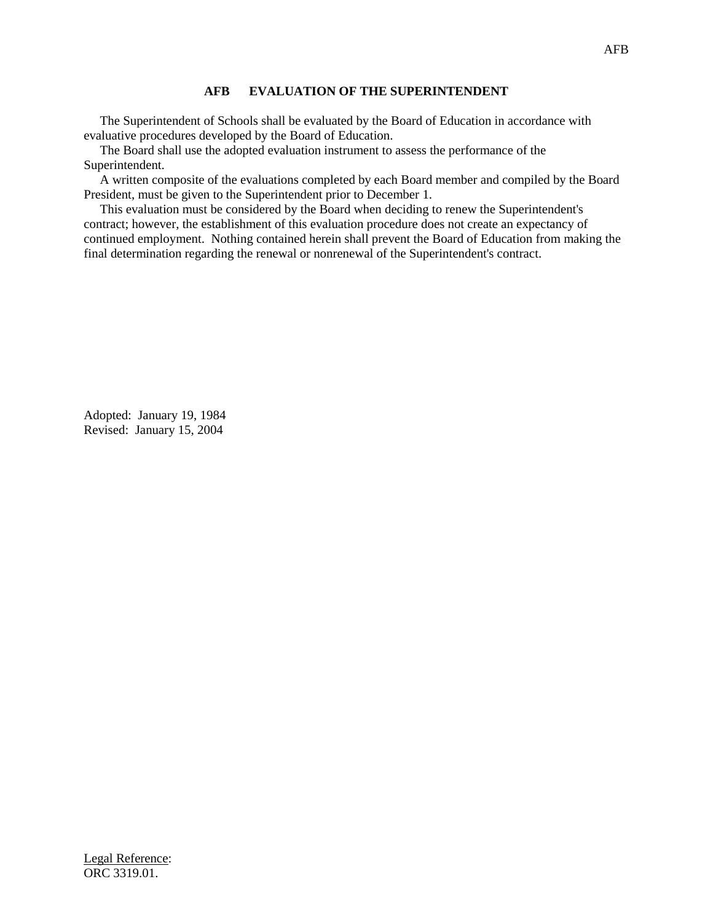## **AFB EVALUATION OF THE SUPERINTENDENT**

 The Superintendent of Schools shall be evaluated by the Board of Education in accordance with evaluative procedures developed by the Board of Education.

 The Board shall use the adopted evaluation instrument to assess the performance of the Superintendent.

 A written composite of the evaluations completed by each Board member and compiled by the Board President, must be given to the Superintendent prior to December 1.

 This evaluation must be considered by the Board when deciding to renew the Superintendent's contract; however, the establishment of this evaluation procedure does not create an expectancy of continued employment. Nothing contained herein shall prevent the Board of Education from making the final determination regarding the renewal or nonrenewal of the Superintendent's contract.

Adopted: January 19, 1984 Revised: January 15, 2004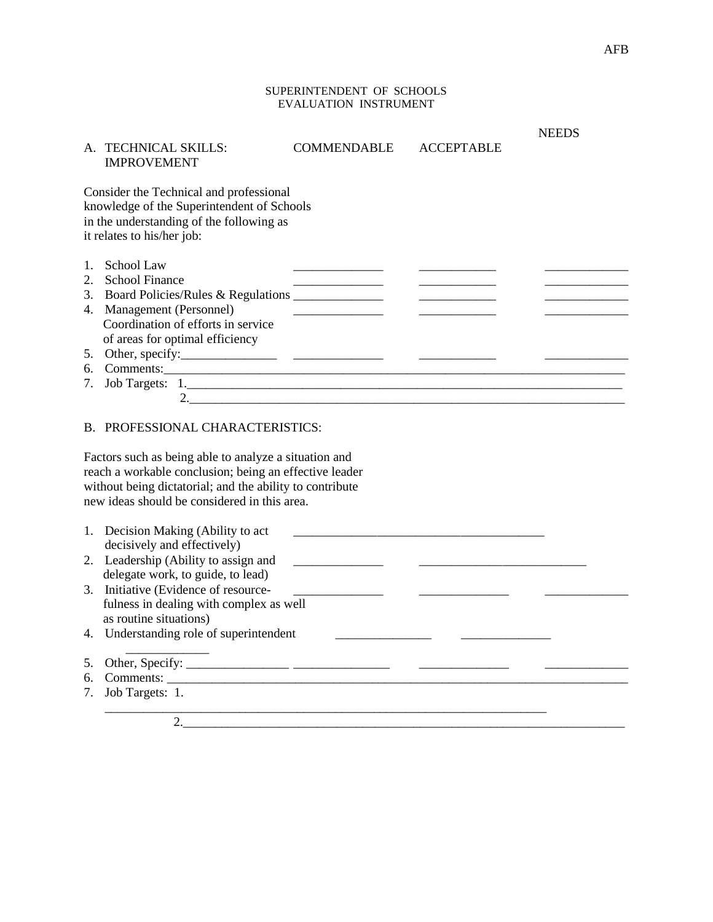### SUPERINTENDENT OF SCHOOLS EVALUATION INSTRUMENT

|    |                                                          |                    |                   | <b>NEEDS</b> |
|----|----------------------------------------------------------|--------------------|-------------------|--------------|
|    | A. TECHNICAL SKILLS:                                     | <b>COMMENDABLE</b> | <b>ACCEPTABLE</b> |              |
|    | <b>IMPROVEMENT</b>                                       |                    |                   |              |
|    | Consider the Technical and professional                  |                    |                   |              |
|    | knowledge of the Superintendent of Schools               |                    |                   |              |
|    | in the understanding of the following as                 |                    |                   |              |
|    | it relates to his/her job:                               |                    |                   |              |
|    | 1. School Law                                            |                    |                   |              |
|    | 2. School Finance                                        |                    |                   |              |
|    | 3. Board Policies/Rules & Regulations _______________    |                    |                   |              |
|    | 4. Management (Personnel)                                |                    |                   |              |
|    | Coordination of efforts in service                       |                    |                   |              |
|    | of areas for optimal efficiency                          |                    |                   |              |
|    |                                                          |                    |                   |              |
|    | 6. Comments:                                             |                    |                   |              |
| 7. |                                                          |                    |                   |              |
|    |                                                          |                    |                   |              |
|    |                                                          |                    |                   |              |
|    | B. PROFESSIONAL CHARACTERISTICS:                         |                    |                   |              |
|    | Factors such as being able to analyze a situation and    |                    |                   |              |
|    | reach a workable conclusion; being an effective leader   |                    |                   |              |
|    | without being dictatorial; and the ability to contribute |                    |                   |              |
|    | new ideas should be considered in this area.             |                    |                   |              |
|    |                                                          |                    |                   |              |
|    | 1. Decision Making (Ability to act                       |                    |                   |              |
|    | decisively and effectively)                              |                    |                   |              |
|    | 2. Leadership (Ability to assign and                     |                    |                   |              |
|    | delegate work, to guide, to lead)                        |                    |                   |              |
|    | 3. Initiative (Evidence of resource-                     |                    |                   |              |
|    | fulness in dealing with complex as well                  |                    |                   |              |
|    | as routine situations)                                   |                    |                   |              |
|    | 4. Understanding role of superintendent                  |                    |                   |              |
| 5. |                                                          |                    |                   |              |
| б. |                                                          |                    |                   |              |
| 7. | Job Targets: 1.                                          |                    |                   |              |
|    |                                                          |                    |                   |              |

2.\_\_\_\_\_\_\_\_\_\_\_\_\_\_\_\_\_\_\_\_\_\_\_\_\_\_\_\_\_\_\_\_\_\_\_\_\_\_\_\_\_\_\_\_\_\_\_\_\_\_\_\_\_\_\_\_\_\_\_\_\_\_\_\_\_\_\_\_\_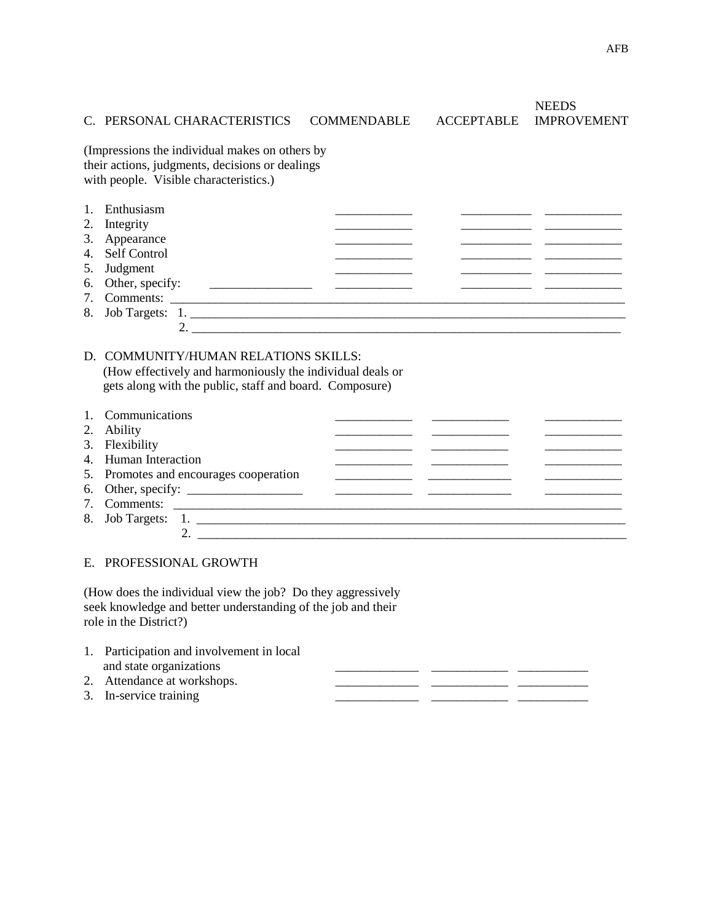## C. PERSONAL CHARACTERISTICS COMMENDABLE ACCEPTABLE IMPROVEMENT

2. \_\_\_\_\_\_\_\_\_\_\_\_\_\_\_\_\_\_\_\_\_\_\_\_\_\_\_\_\_\_\_\_\_\_\_\_\_\_\_\_\_\_\_\_\_\_\_\_\_\_\_\_\_\_\_\_\_\_\_\_\_\_\_\_\_\_\_

**NEEDS** 

(Impressions the individual makes on others by their actions, judgments, decisions or dealings with people. Visible characteristics.)

| 1. Enthusiasm      |  |  |
|--------------------|--|--|
| 2. Integrity       |  |  |
| 3. Appearance      |  |  |
| 4. Self Control    |  |  |
| 5. Judgment        |  |  |
| 6. Other, specify: |  |  |
| 7. Comments:       |  |  |
| 8. Job Targets: 1. |  |  |

# D. COMMUNITY/HUMAN RELATIONS SKILLS: (How effectively and harmoniously the individual deals or gets along with the public, staff and board. Composure)

| 1. Communications                      |                    |  |  |
|----------------------------------------|--------------------|--|--|
| 2. Ability                             |                    |  |  |
| 3. Flexibility                         |                    |  |  |
| 4. Human Interaction                   |                    |  |  |
| 5. Promotes and encourages cooperation |                    |  |  |
|                                        |                    |  |  |
|                                        |                    |  |  |
|                                        | 8. Job Targets: 1. |  |  |
|                                        |                    |  |  |

E. PROFESSIONAL GROWTH

(How does the individual view the job? Do they aggressively seek knowledge and better understanding of the job and their role in the District?)

| 1. Participation and involvement in local |  |  |
|-------------------------------------------|--|--|
| and state organizations                   |  |  |
| 2. Attendance at workshops.               |  |  |
| 3. In-service training                    |  |  |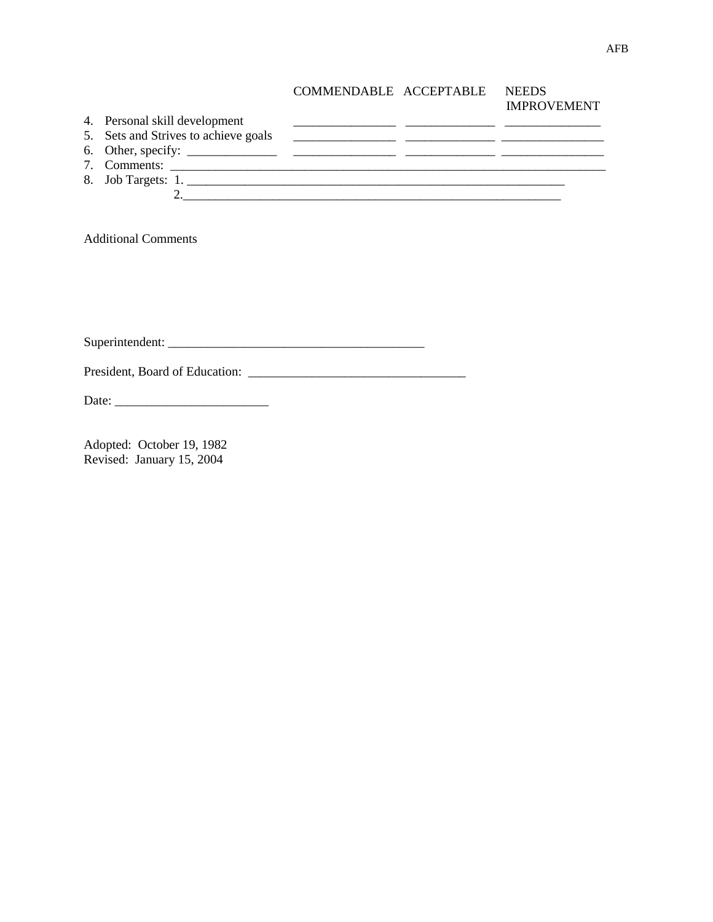| COMMENDABLE ACCEPTABLE | <b>NEEDS</b>       |
|------------------------|--------------------|
|                        | <b>IMPROVEMENT</b> |

|                                      | $\mathbf{u}$ $\mathbf{u}$ $\mathbf{v}$ $\mathbf{u}$ $\mathbf{v}$ $\mathbf{u}$ $\mathbf{u}$ $\mathbf{v}$ $\mathbf{u}$ |
|--------------------------------------|----------------------------------------------------------------------------------------------------------------------|
| 4. Personal skill development        |                                                                                                                      |
| 5. Sets and Strives to achieve goals |                                                                                                                      |
|                                      |                                                                                                                      |
| 7. Comments:                         |                                                                                                                      |
|                                      |                                                                                                                      |
|                                      |                                                                                                                      |
|                                      |                                                                                                                      |

Additional Comments

Superintendent: \_\_\_\_\_\_\_\_\_\_\_\_\_\_\_\_\_\_\_\_\_\_\_\_\_\_\_\_\_\_\_\_\_\_\_\_\_\_\_\_

President, Board of Education: \_\_\_\_\_\_\_\_\_\_\_\_\_\_\_\_\_\_\_\_\_\_\_\_\_\_\_\_\_\_\_\_\_\_

Date: \_\_\_\_\_\_\_\_\_\_\_\_\_\_\_\_\_\_\_\_\_\_\_\_

Adopted: October 19, 1982 Revised: January 15, 2004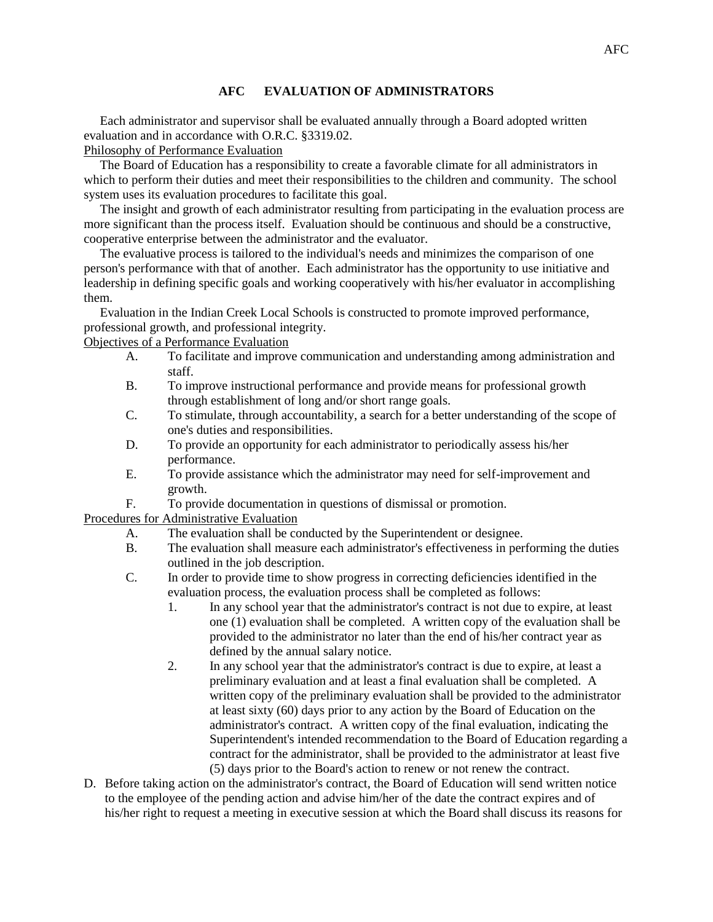## **AFC EVALUATION OF ADMINISTRATORS**

 Each administrator and supervisor shall be evaluated annually through a Board adopted written evaluation and in accordance with O.R.C. §3319.02.

Philosophy of Performance Evaluation

 The Board of Education has a responsibility to create a favorable climate for all administrators in which to perform their duties and meet their responsibilities to the children and community. The school system uses its evaluation procedures to facilitate this goal.

 The insight and growth of each administrator resulting from participating in the evaluation process are more significant than the process itself. Evaluation should be continuous and should be a constructive, cooperative enterprise between the administrator and the evaluator.

 The evaluative process is tailored to the individual's needs and minimizes the comparison of one person's performance with that of another. Each administrator has the opportunity to use initiative and leadership in defining specific goals and working cooperatively with his/her evaluator in accomplishing them.

 Evaluation in the Indian Creek Local Schools is constructed to promote improved performance, professional growth, and professional integrity.

Objectives of a Performance Evaluation

- A. To facilitate and improve communication and understanding among administration and staff.
- B. To improve instructional performance and provide means for professional growth through establishment of long and/or short range goals.
- C. To stimulate, through accountability, a search for a better understanding of the scope of one's duties and responsibilities.
- D. To provide an opportunity for each administrator to periodically assess his/her performance.
- E. To provide assistance which the administrator may need for self-improvement and growth.
- F. To provide documentation in questions of dismissal or promotion.

Procedures for Administrative Evaluation

- A. The evaluation shall be conducted by the Superintendent or designee.
- B. The evaluation shall measure each administrator's effectiveness in performing the duties outlined in the job description.
- C. In order to provide time to show progress in correcting deficiencies identified in the evaluation process, the evaluation process shall be completed as follows:
	- 1. In any school year that the administrator's contract is not due to expire, at least one (1) evaluation shall be completed. A written copy of the evaluation shall be provided to the administrator no later than the end of his/her contract year as defined by the annual salary notice.
	- 2. In any school year that the administrator's contract is due to expire, at least a preliminary evaluation and at least a final evaluation shall be completed. A written copy of the preliminary evaluation shall be provided to the administrator at least sixty (60) days prior to any action by the Board of Education on the administrator's contract. A written copy of the final evaluation, indicating the Superintendent's intended recommendation to the Board of Education regarding a contract for the administrator, shall be provided to the administrator at least five (5) days prior to the Board's action to renew or not renew the contract.
- D. Before taking action on the administrator's contract, the Board of Education will send written notice to the employee of the pending action and advise him/her of the date the contract expires and of his/her right to request a meeting in executive session at which the Board shall discuss its reasons for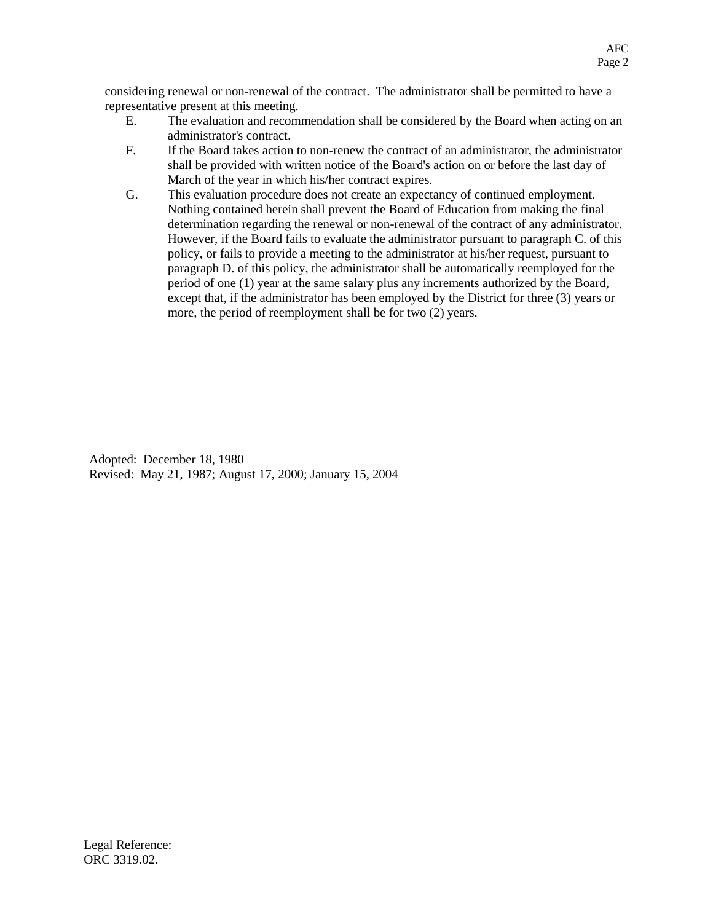considering renewal or non-renewal of the contract. The administrator shall be permitted to have a representative present at this meeting.

- E. The evaluation and recommendation shall be considered by the Board when acting on an administrator's contract.
- F. If the Board takes action to non-renew the contract of an administrator, the administrator shall be provided with written notice of the Board's action on or before the last day of March of the year in which his/her contract expires.
- G. This evaluation procedure does not create an expectancy of continued employment. Nothing contained herein shall prevent the Board of Education from making the final determination regarding the renewal or non-renewal of the contract of any administrator. However, if the Board fails to evaluate the administrator pursuant to paragraph C. of this policy, or fails to provide a meeting to the administrator at his/her request, pursuant to paragraph D. of this policy, the administrator shall be automatically reemployed for the period of one (1) year at the same salary plus any increments authorized by the Board, except that, if the administrator has been employed by the District for three (3) years or more, the period of reemployment shall be for two (2) years.

Adopted: December 18, 1980 Revised: May 21, 1987; August 17, 2000; January 15, 2004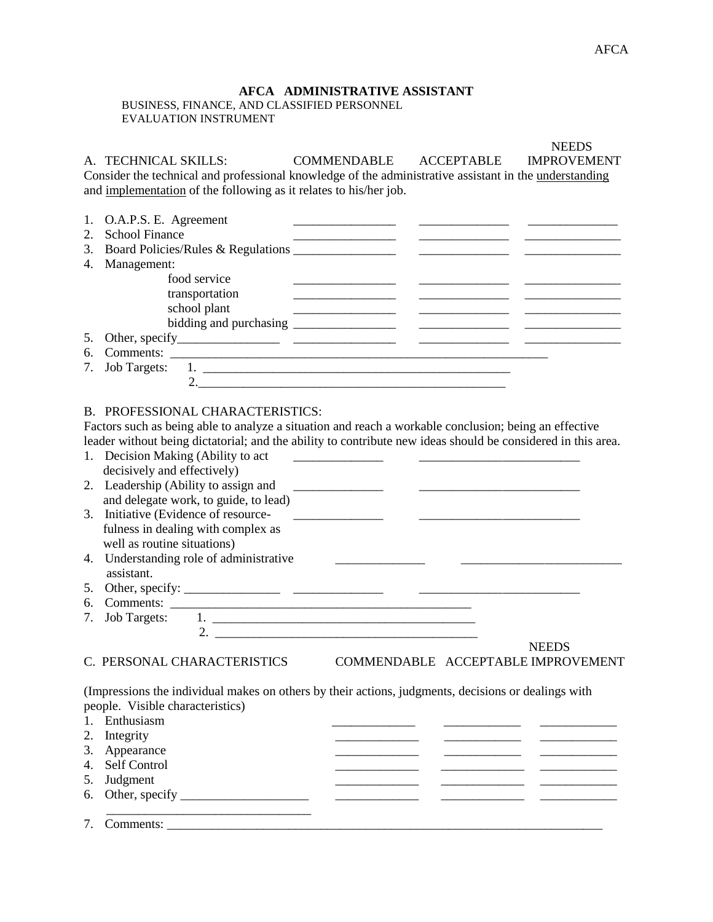# **AFCA ADMINISTRATIVE ASSISTANT**

 BUSINESS, FINANCE, AND CLASSIFIED PERSONNEL EVALUATION INSTRUMENT

|    | A. TECHNICAL SKILLS:<br>Consider the technical and professional knowledge of the administrative assistant in the understanding | <b>COMMENDABLE</b>                                                                                                                                                                                                                   | ACCEPTABLE | <b>NEEDS</b><br><b>IMPROVEMENT</b>                                                                                                                                                                                                   |
|----|--------------------------------------------------------------------------------------------------------------------------------|--------------------------------------------------------------------------------------------------------------------------------------------------------------------------------------------------------------------------------------|------------|--------------------------------------------------------------------------------------------------------------------------------------------------------------------------------------------------------------------------------------|
|    | and implementation of the following as it relates to his/her job.                                                              |                                                                                                                                                                                                                                      |            |                                                                                                                                                                                                                                      |
| 1. | O.A.P.S. E. Agreement                                                                                                          |                                                                                                                                                                                                                                      |            |                                                                                                                                                                                                                                      |
| 2. | <b>School Finance</b>                                                                                                          |                                                                                                                                                                                                                                      |            |                                                                                                                                                                                                                                      |
| 3. |                                                                                                                                |                                                                                                                                                                                                                                      |            | <u> Alexandria de la conte</u>                                                                                                                                                                                                       |
| 4. | Management:                                                                                                                    |                                                                                                                                                                                                                                      |            |                                                                                                                                                                                                                                      |
|    | food service                                                                                                                   |                                                                                                                                                                                                                                      |            |                                                                                                                                                                                                                                      |
|    | transportation                                                                                                                 |                                                                                                                                                                                                                                      |            |                                                                                                                                                                                                                                      |
|    | school plant                                                                                                                   | <u> Alexandro Alexandro Alexandro Alexandro Alexandro Alexandro Alexandro Alexandro Alexandro Alexandro Alexandro Alexandro Alexandro Alexandro Alexandro Alexandro Alexandro Alexandro Alexandro Alexandro Alexandro Alexandro </u> |            |                                                                                                                                                                                                                                      |
|    |                                                                                                                                |                                                                                                                                                                                                                                      |            |                                                                                                                                                                                                                                      |
| 5. |                                                                                                                                |                                                                                                                                                                                                                                      |            |                                                                                                                                                                                                                                      |
| 6. |                                                                                                                                |                                                                                                                                                                                                                                      |            |                                                                                                                                                                                                                                      |
| 7. | <b>Job Targets:</b>                                                                                                            |                                                                                                                                                                                                                                      |            |                                                                                                                                                                                                                                      |
|    |                                                                                                                                | 2. $\overline{\phantom{a}}$                                                                                                                                                                                                          |            |                                                                                                                                                                                                                                      |
|    |                                                                                                                                |                                                                                                                                                                                                                                      |            |                                                                                                                                                                                                                                      |
|    | <b>B. PROFESSIONAL CHARACTERISTICS:</b>                                                                                        |                                                                                                                                                                                                                                      |            |                                                                                                                                                                                                                                      |
|    | Factors such as being able to analyze a situation and reach a workable conclusion; being an effective                          |                                                                                                                                                                                                                                      |            |                                                                                                                                                                                                                                      |
|    | leader without being dictatorial; and the ability to contribute new ideas should be considered in this area.                   |                                                                                                                                                                                                                                      |            |                                                                                                                                                                                                                                      |
|    | 1. Decision Making (Ability to act                                                                                             | <u> 1980 - Jan Samuel Barbara, politik eta pro</u>                                                                                                                                                                                   |            |                                                                                                                                                                                                                                      |
|    | decisively and effectively)                                                                                                    |                                                                                                                                                                                                                                      |            |                                                                                                                                                                                                                                      |
|    | 2. Leadership (Ability to assign and                                                                                           |                                                                                                                                                                                                                                      |            |                                                                                                                                                                                                                                      |
|    | and delegate work, to guide, to lead)                                                                                          |                                                                                                                                                                                                                                      |            |                                                                                                                                                                                                                                      |
|    | 3. Initiative (Evidence of resource-                                                                                           |                                                                                                                                                                                                                                      |            |                                                                                                                                                                                                                                      |
|    | fulness in dealing with complex as                                                                                             |                                                                                                                                                                                                                                      |            |                                                                                                                                                                                                                                      |
|    | well as routine situations)                                                                                                    |                                                                                                                                                                                                                                      |            |                                                                                                                                                                                                                                      |
| 4. | Understanding role of administrative                                                                                           |                                                                                                                                                                                                                                      |            |                                                                                                                                                                                                                                      |
|    | assistant.                                                                                                                     |                                                                                                                                                                                                                                      |            |                                                                                                                                                                                                                                      |
| 5. |                                                                                                                                |                                                                                                                                                                                                                                      |            |                                                                                                                                                                                                                                      |
| 6. |                                                                                                                                |                                                                                                                                                                                                                                      |            |                                                                                                                                                                                                                                      |
| 7. | <b>Job Targets:</b>                                                                                                            |                                                                                                                                                                                                                                      |            |                                                                                                                                                                                                                                      |
|    |                                                                                                                                |                                                                                                                                                                                                                                      |            |                                                                                                                                                                                                                                      |
|    | C. PERSONAL CHARACTERISTICS                                                                                                    |                                                                                                                                                                                                                                      |            | <b>NEEDS</b><br>COMMENDABLE ACCEPTABLE IMPROVEMENT                                                                                                                                                                                   |
|    | (Impressions the individual makes on others by their actions, judgments, decisions or dealings with                            |                                                                                                                                                                                                                                      |            |                                                                                                                                                                                                                                      |
|    | people. Visible characteristics)                                                                                               |                                                                                                                                                                                                                                      |            |                                                                                                                                                                                                                                      |
|    | 1. Enthusiasm                                                                                                                  |                                                                                                                                                                                                                                      |            |                                                                                                                                                                                                                                      |
|    | 2. Integrity                                                                                                                   |                                                                                                                                                                                                                                      |            |                                                                                                                                                                                                                                      |
|    | 3. Appearance                                                                                                                  |                                                                                                                                                                                                                                      |            | <u> Alexandro Alexandro de Alexandro de Alexandro de Alexandro de Alexandro de Alexandro de Alexandro de Alexandro de Alexandro de Alexandro de Alexandro de Alexandro de Alexandro de Alexandro de Alexandro de Alexandro de Al</u> |
|    | 4. Self Control                                                                                                                |                                                                                                                                                                                                                                      |            | <u> Alexandro Alexandro de Alexandro de Alexandro de Alexandro de Alexandro de Alexandro de Alexandro de Alexandro de A</u>                                                                                                          |
|    | 5. Judgment                                                                                                                    |                                                                                                                                                                                                                                      |            |                                                                                                                                                                                                                                      |
|    |                                                                                                                                | <u> Alexandro Alexandro Alexandro Alexandro Alexandro Alexandro Alexandro Alexandro Alexandro Alexandro Alexandro A</u>                                                                                                              |            |                                                                                                                                                                                                                                      |
|    |                                                                                                                                |                                                                                                                                                                                                                                      |            |                                                                                                                                                                                                                                      |
|    |                                                                                                                                |                                                                                                                                                                                                                                      |            |                                                                                                                                                                                                                                      |

7. Comments: \_\_\_\_\_\_\_\_\_\_\_\_\_\_\_\_\_\_\_\_\_\_\_\_\_\_\_\_\_\_\_\_\_\_\_\_\_\_\_\_\_\_\_\_\_\_\_\_\_\_\_\_\_\_\_\_\_\_\_\_\_\_\_\_\_\_\_\_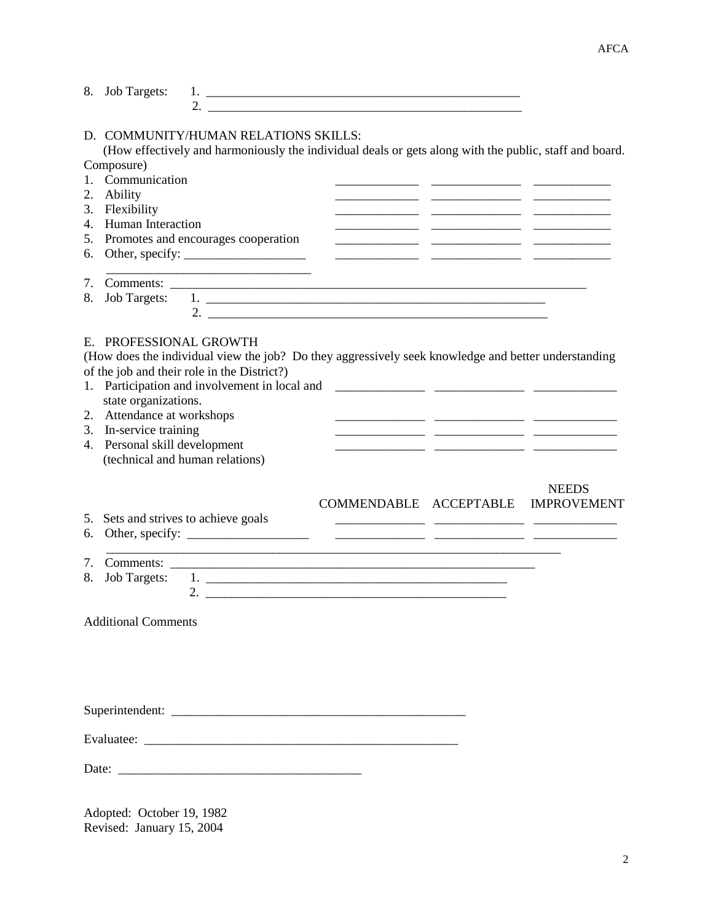| 8.                         | <b>Job Targets:</b>                                                                                                                                                        |                                                                                                                                                                                                                                                                                                                        |                        |                                                               |                                    |
|----------------------------|----------------------------------------------------------------------------------------------------------------------------------------------------------------------------|------------------------------------------------------------------------------------------------------------------------------------------------------------------------------------------------------------------------------------------------------------------------------------------------------------------------|------------------------|---------------------------------------------------------------|------------------------------------|
| 2.<br>3.<br>4.<br>5.<br>6. | Composure)<br>1. Communication<br>Ability<br>Flexibility<br><b>Human Interaction</b>                                                                                       | D. COMMUNITY/HUMAN RELATIONS SKILLS:<br>(How effectively and harmoniously the individual deals or gets along with the public, staff and board.<br>Promotes and encourages cooperation                                                                                                                                  |                        | <u> 1989 - Andrea Andrewski, amerikansk politik (d. 1989)</u> |                                    |
| 7.<br>8.                   |                                                                                                                                                                            | 2. $\frac{1}{2}$ $\frac{1}{2}$ $\frac{1}{2}$ $\frac{1}{2}$ $\frac{1}{2}$ $\frac{1}{2}$ $\frac{1}{2}$ $\frac{1}{2}$ $\frac{1}{2}$ $\frac{1}{2}$ $\frac{1}{2}$ $\frac{1}{2}$ $\frac{1}{2}$ $\frac{1}{2}$ $\frac{1}{2}$ $\frac{1}{2}$ $\frac{1}{2}$ $\frac{1}{2}$ $\frac{1}{2}$ $\frac{1}{2}$ $\frac{1}{2}$ $\frac{1}{2}$ |                        |                                                               |                                    |
|                            | E. PROFESSIONAL GROWTH<br>state organizations.<br>2. Attendance at workshops<br>3. In-service training<br>4. Personal skill development<br>(technical and human relations) | (How does the individual view the job? Do they aggressively seek knowledge and better understanding<br>of the job and their role in the District?)<br>1. Participation and involvement in local and                                                                                                                    |                        |                                                               |                                    |
| 5.<br>6.                   |                                                                                                                                                                            | Sets and strives to achieve goals                                                                                                                                                                                                                                                                                      | COMMENDABLE ACCEPTABLE |                                                               | <b>NEEDS</b><br><b>IMPROVEMENT</b> |
| 7.<br>8.                   | <b>Job Targets:</b>                                                                                                                                                        | <u> 1989 - Jan Barat, Amerikaansk politiker (* 1989)</u>                                                                                                                                                                                                                                                               |                        |                                                               |                                    |
|                            | <b>Additional Comments</b>                                                                                                                                                 |                                                                                                                                                                                                                                                                                                                        |                        |                                                               |                                    |
|                            |                                                                                                                                                                            |                                                                                                                                                                                                                                                                                                                        |                        |                                                               |                                    |
|                            |                                                                                                                                                                            |                                                                                                                                                                                                                                                                                                                        |                        |                                                               |                                    |
|                            |                                                                                                                                                                            |                                                                                                                                                                                                                                                                                                                        |                        |                                                               |                                    |
|                            |                                                                                                                                                                            |                                                                                                                                                                                                                                                                                                                        |                        |                                                               |                                    |

Adopted: October 19, 1982 Revised: January 15, 2004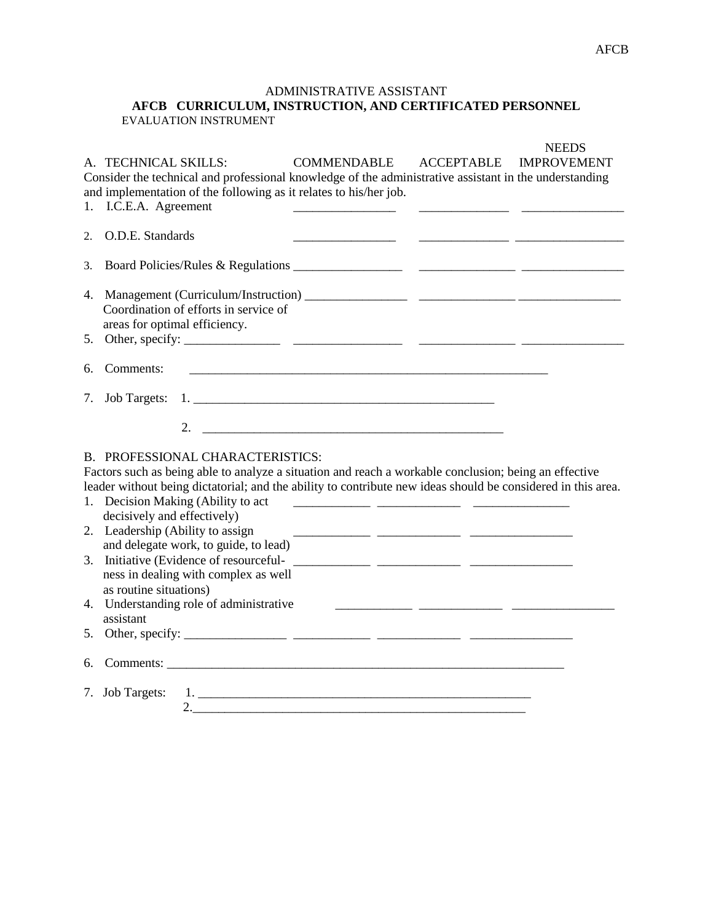## ADMINISTRATIVE ASSISTANT **AFCB CURRICULUM, INSTRUCTION, AND CERTIFICATED PERSONNEL** EVALUATION INSTRUMENT

| 1.       | <b>COMMENDABLE</b><br><b>ACCEPTABLE</b><br>A. TECHNICAL SKILLS:<br>Consider the technical and professional knowledge of the administrative assistant in the understanding<br>and implementation of the following as it relates to his/her job.<br>I.C.E.A. Agreement                                                                                                                                                                                                                                                                  | <b>NEEDS</b><br><b>IMPROVEMENT</b> |
|----------|---------------------------------------------------------------------------------------------------------------------------------------------------------------------------------------------------------------------------------------------------------------------------------------------------------------------------------------------------------------------------------------------------------------------------------------------------------------------------------------------------------------------------------------|------------------------------------|
| $2^{1}$  | O.D.E. Standards                                                                                                                                                                                                                                                                                                                                                                                                                                                                                                                      |                                    |
| 3.       |                                                                                                                                                                                                                                                                                                                                                                                                                                                                                                                                       |                                    |
| 5.       | Coordination of efforts in service of<br>areas for optimal efficiency.                                                                                                                                                                                                                                                                                                                                                                                                                                                                |                                    |
| 6.       | Comments:<br><u> 1989 - Johann John Stoff, deutscher Stoff und der Stoff und der Stoff und der Stoff und der Stoff und der Sto</u>                                                                                                                                                                                                                                                                                                                                                                                                    |                                    |
| 7.       |                                                                                                                                                                                                                                                                                                                                                                                                                                                                                                                                       |                                    |
|          |                                                                                                                                                                                                                                                                                                                                                                                                                                                                                                                                       |                                    |
| 3.<br>5. | B. PROFESSIONAL CHARACTERISTICS:<br>Factors such as being able to analyze a situation and reach a workable conclusion; being an effective<br>leader without being dictatorial; and the ability to contribute new ideas should be considered in this area.<br>1. Decision Making (Ability to act<br>decisively and effectively)<br>2. Leadership (Ability to assign<br>and delegate work, to guide, to lead)<br>ness in dealing with complex as well<br>as routine situations)<br>4. Understanding role of administrative<br>assistant |                                    |
| 6.       |                                                                                                                                                                                                                                                                                                                                                                                                                                                                                                                                       |                                    |
|          | 7. Job Targets:<br>2.                                                                                                                                                                                                                                                                                                                                                                                                                                                                                                                 |                                    |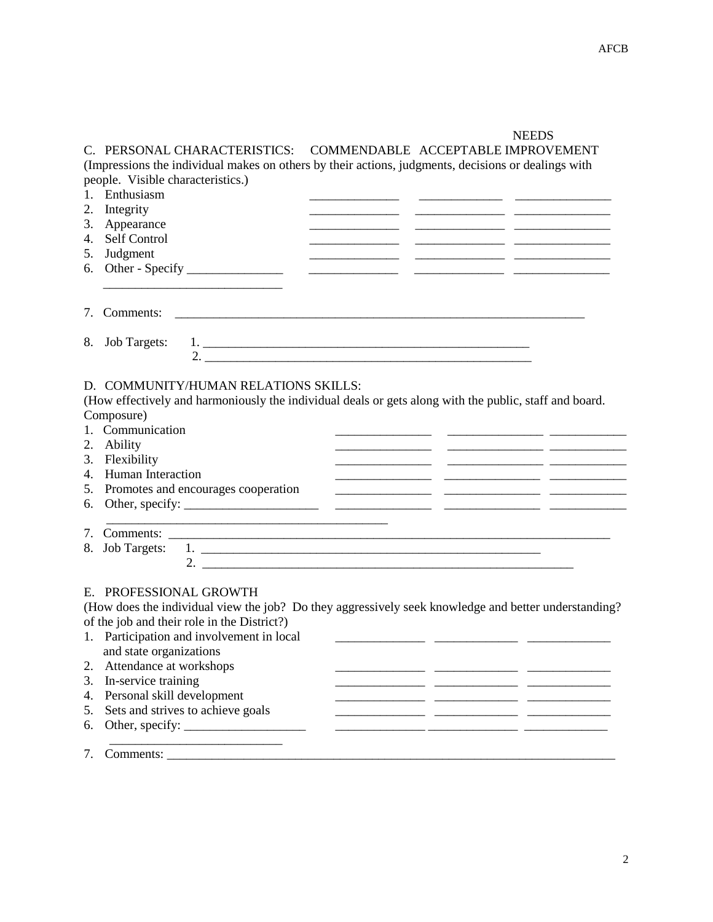## **NEEDS**

C. PERSONAL CHARACTERISTICS: COMMENDABLE ACCEPTABLE IMPROVEMENT (Impressions the individual makes on others by their actions, judgments, decisions or dealings with people. Visible characteristics.)

| 1. | Enthusiasm                                                                                                                                                         |
|----|--------------------------------------------------------------------------------------------------------------------------------------------------------------------|
| 2. | Integrity                                                                                                                                                          |
| 3. | Appearance                                                                                                                                                         |
| 4. | Self Control                                                                                                                                                       |
| 5. | Judgment                                                                                                                                                           |
| 6. |                                                                                                                                                                    |
|    |                                                                                                                                                                    |
|    |                                                                                                                                                                    |
| 7. |                                                                                                                                                                    |
|    |                                                                                                                                                                    |
| 8. | <b>Job Targets:</b>                                                                                                                                                |
|    | 2. $\frac{1}{2}$                                                                                                                                                   |
|    |                                                                                                                                                                    |
|    | D. COMMUNITY/HUMAN RELATIONS SKILLS:                                                                                                                               |
|    | (How effectively and harmoniously the individual deals or gets along with the public, staff and board.                                                             |
|    | Composure)                                                                                                                                                         |
|    | 1. Communication                                                                                                                                                   |
| 2. | Ability                                                                                                                                                            |
|    | 3. Flexibility                                                                                                                                                     |
| 4. | <b>Human Interaction</b>                                                                                                                                           |
| 5. | Promotes and encourages cooperation                                                                                                                                |
| 6. |                                                                                                                                                                    |
|    | <u> 1989 - Johann Harry Harry Harry Harry Harry Harry Harry Harry Harry Harry Harry Harry Harry Harry Harry Harry</u>                                              |
| 7. |                                                                                                                                                                    |
| 8. | <b>Job Targets:</b>                                                                                                                                                |
|    |                                                                                                                                                                    |
|    |                                                                                                                                                                    |
|    | E. PROFESSIONAL GROWTH                                                                                                                                             |
|    | (How does the individual view the job? Do they aggressively seek knowledge and better understanding?                                                               |
|    | of the job and their role in the District?)                                                                                                                        |
|    | 1. Participation and involvement in local<br><u> 1989 - Johann John Stone, mars eta inperiodo eta inperiodo eta inperiodo eta inperiodo eta inperiodo eta inpe</u> |
|    | and state organizations                                                                                                                                            |
|    | 2. Attendance at workshops                                                                                                                                         |
|    | 3. In-service training                                                                                                                                             |
| 4. | Personal skill development                                                                                                                                         |
| 5. | Sets and strives to achieve goals                                                                                                                                  |
| 6. |                                                                                                                                                                    |
|    |                                                                                                                                                                    |
| 7. | Comments:                                                                                                                                                          |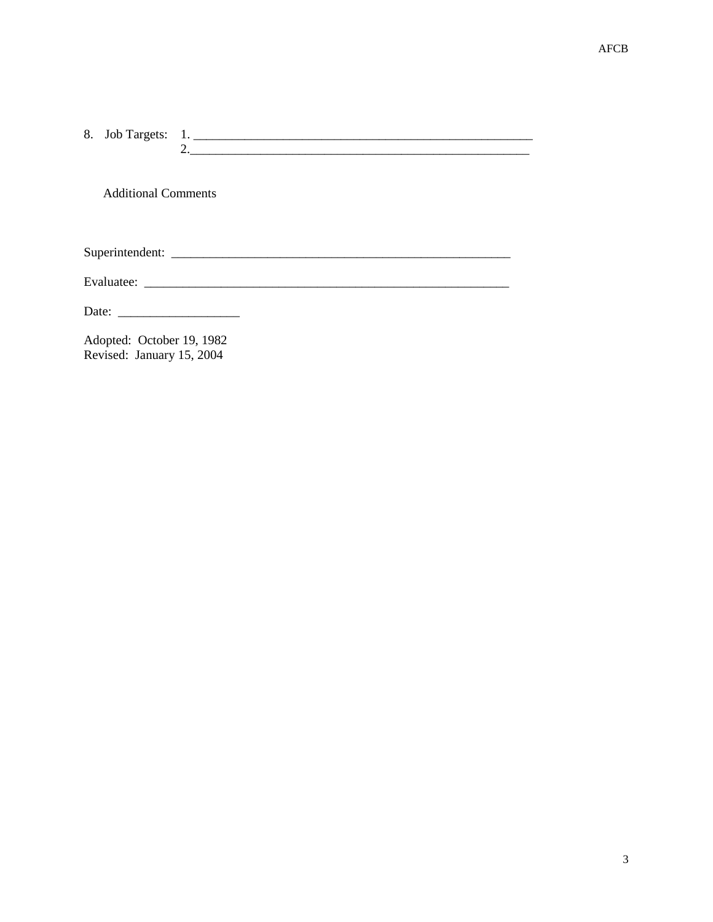**Additional Comments** 

Adopted: October 19, 1982 Revised: January 15, 2004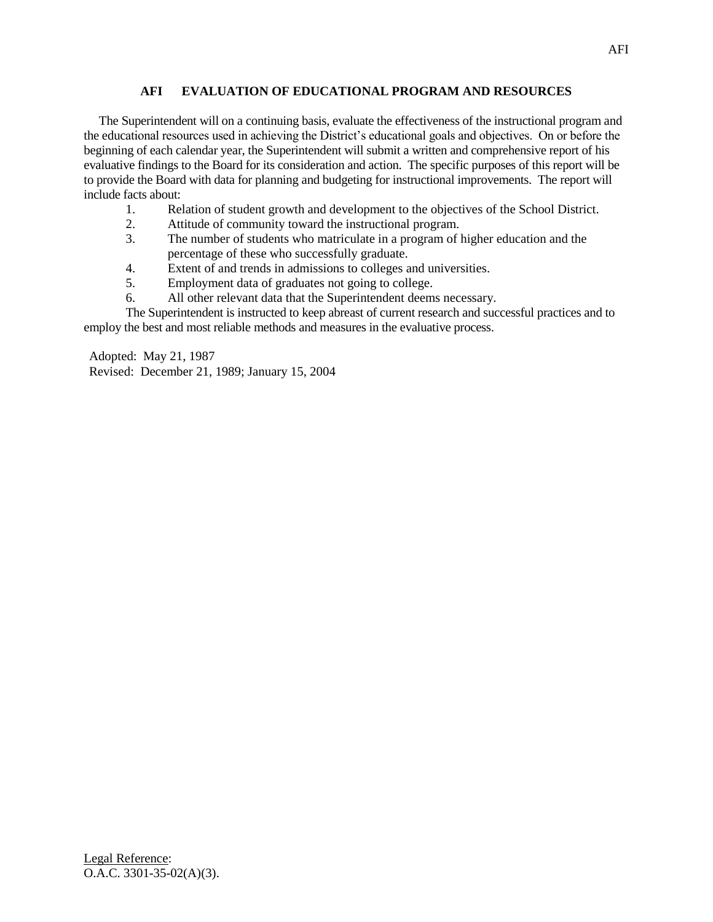## **AFI EVALUATION OF EDUCATIONAL PROGRAM AND RESOURCES**

 The Superintendent will on a continuing basis, evaluate the effectiveness of the instructional program and the educational resources used in achieving the District's educational goals and objectives. On or before the beginning of each calendar year, the Superintendent will submit a written and comprehensive report of his evaluative findings to the Board for its consideration and action. The specific purposes of this report will be to provide the Board with data for planning and budgeting for instructional improvements. The report will include facts about:

- 1. Relation of student growth and development to the objectives of the School District.
- 2. Attitude of community toward the instructional program.
- 3. The number of students who matriculate in a program of higher education and the percentage of these who successfully graduate.
- 4. Extent of and trends in admissions to colleges and universities.
- 5. Employment data of graduates not going to college.
- 6. All other relevant data that the Superintendent deems necessary.
- The Superintendent is instructed to keep abreast of current research and successful practices and to employ the best and most reliable methods and measures in the evaluative process.

Adopted: May 21, 1987 Revised: December 21, 1989; January 15, 2004